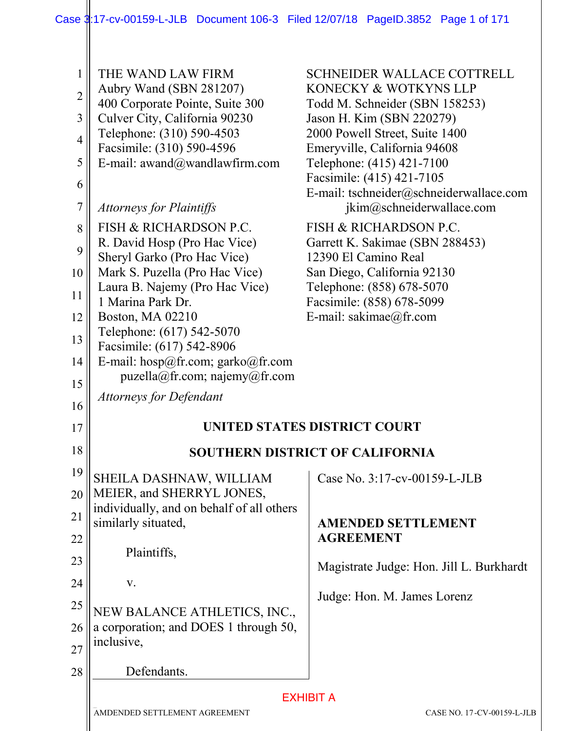| 1              | THE WAND LAW FIRM                                                      | <b>SCHNEIDER WALLACE COTTRELL</b>                                    |
|----------------|------------------------------------------------------------------------|----------------------------------------------------------------------|
| $\overline{2}$ | Aubry Wand (SBN 281207)                                                | KONECKY & WOTKYNS LLP                                                |
|                | 400 Corporate Pointe, Suite 300                                        | Todd M. Schneider (SBN 158253)                                       |
| 3              | Culver City, California 90230<br>Telephone: (310) 590-4503             | Jason H. Kim (SBN 220279)<br>2000 Powell Street, Suite 1400          |
| $\overline{4}$ | Facsimile: (310) 590-4596                                              | Emeryville, California 94608                                         |
| 5              | E-mail: awand@wandlawfirm.com                                          | Telephone: (415) 421-7100                                            |
| 6              |                                                                        | Facsimile: (415) 421-7105                                            |
| $\overline{7}$ | <b>Attorneys for Plaintiffs</b>                                        | E-mail: tschneider@schneiderwallace.com<br>jkim@schneiderwallace.com |
| 8              | <b>FISH &amp; RICHARDSON P.C.</b>                                      | <b>FISH &amp; RICHARDSON P.C.</b>                                    |
| 9              | R. David Hosp (Pro Hac Vice)                                           | Garrett K. Sakimae (SBN 288453)                                      |
|                | Sheryl Garko (Pro Hac Vice)                                            | 12390 El Camino Real                                                 |
| 10             | Mark S. Puzella (Pro Hac Vice)<br>Laura B. Najemy (Pro Hac Vice)       | San Diego, California 92130<br>Telephone: (858) 678-5070             |
| 11             | 1 Marina Park Dr.                                                      | Facsimile: (858) 678-5099                                            |
| 12             | Boston, MA 02210                                                       | E-mail: sakimae@fr.com                                               |
| 13             | Telephone: (617) 542-5070                                              |                                                                      |
|                | Facsimile: (617) 542-8906                                              |                                                                      |
| 14<br>15       | E-mail: hosp@fr.com; garko@fr.com<br>puzzle la @ fr.com; najemy@fr.com |                                                                      |
| 16             | <b>Attorneys for Defendant</b>                                         |                                                                      |
| 17             |                                                                        | UNITED STATES DISTRICT COURT                                         |
| 18             |                                                                        | <b>SOUTHERN DISTRICT OF CALIFORNIA</b>                               |
| 19             | SHEILA DASHNAW, WILLIAM                                                | Case No. 3:17-cv-00159-L-JLB                                         |
| 20             | MEIER, and SHERRYL JONES,                                              |                                                                      |
| 21             | individually, and on behalf of all others                              |                                                                      |
| 22             | similarly situated,                                                    | <b>AMENDED SETTLEMENT</b><br><b>AGREEMENT</b>                        |
| 23             | Plaintiffs,                                                            | Magistrate Judge: Hon. Jill L. Burkhardt                             |
| 24             | V.                                                                     |                                                                      |
|                |                                                                        | Judge: Hon. M. James Lorenz                                          |
| 25             | NEW BALANCE ATHLETICS, INC.,                                           |                                                                      |
| 26             | a corporation; and DOES 1 through 50,                                  |                                                                      |
| 27             | inclusive,                                                             |                                                                      |
| 28             | Defendants.                                                            |                                                                      |
|                |                                                                        | <b>EXHIBIT A</b>                                                     |
|                | AMDENDED SETTLEMENT AGREEMENT                                          | CASE NO. 17-CV-00159-L-JLB                                           |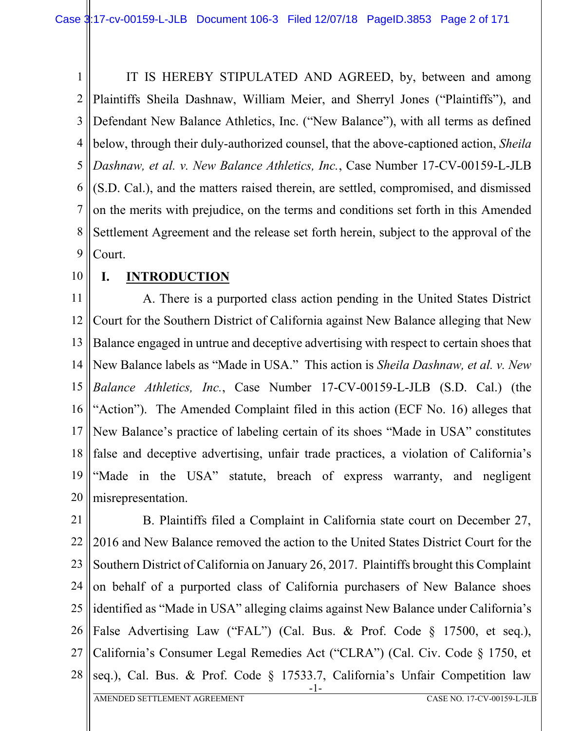1 2 3 4 5 6 7 8 9 IT IS HEREBY STIPULATED AND AGREED, by, between and among Plaintiffs Sheila Dashnaw, William Meier, and Sherryl Jones ("Plaintiffs"), and Defendant New Balance Athletics, Inc. ("New Balance"), with all terms as defined below, through their duly-authorized counsel, that the above-captioned action, *Sheila Dashnaw, et al. v. New Balance Athletics, Inc.*, Case Number 17-CV-00159-L-JLB (S.D. Cal.), and the matters raised therein, are settled, compromised, and dismissed on the merits with prejudice, on the terms and conditions set forth in this Amended Settlement Agreement and the release set forth herein, subject to the approval of the Court.

10

### **I. INTRODUCTION**

11 12 13 14 15 16 17 18 19 20 A. There is a purported class action pending in the United States District Court for the Southern District of California against New Balance alleging that New Balance engaged in untrue and deceptive advertising with respect to certain shoes that New Balance labels as "Made in USA." This action is *Sheila Dashnaw, et al. v. New Balance Athletics, Inc.*, Case Number 17-CV-00159-L-JLB (S.D. Cal.) (the "Action"). The Amended Complaint filed in this action (ECF No. 16) alleges that New Balance's practice of labeling certain of its shoes "Made in USA" constitutes false and deceptive advertising, unfair trade practices, a violation of California's "Made in the USA" statute, breach of express warranty, and negligent misrepresentation.

21 22 23 24 25 26 27 28 -1- B. Plaintiffs filed a Complaint in California state court on December 27, 2016 and New Balance removed the action to the United States District Court for the Southern District of California on January 26, 2017. Plaintiffs brought this Complaint on behalf of a purported class of California purchasers of New Balance shoes identified as "Made in USA" alleging claims against New Balance under California's False Advertising Law ("FAL") (Cal. Bus. & Prof. Code § 17500, et seq.), California's Consumer Legal Remedies Act ("CLRA") (Cal. Civ. Code § 1750, et seq.), Cal. Bus. & Prof. Code § 17533.7, California's Unfair Competition law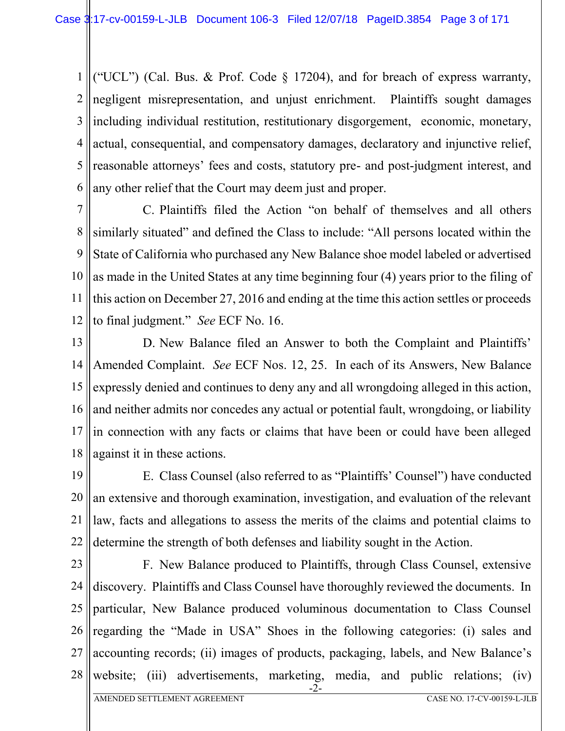1 2 3 4 5 6 ("UCL") (Cal. Bus. & Prof. Code  $\S$  17204), and for breach of express warranty, negligent misrepresentation, and unjust enrichment. Plaintiffs sought damages including individual restitution, restitutionary disgorgement, economic, monetary, actual, consequential, and compensatory damages, declaratory and injunctive relief, reasonable attorneys' fees and costs, statutory pre- and post-judgment interest, and any other relief that the Court may deem just and proper.

7 8 9 10 11 12 C. Plaintiffs filed the Action "on behalf of themselves and all others similarly situated" and defined the Class to include: "All persons located within the State of California who purchased any New Balance shoe model labeled or advertised as made in the United States at any time beginning four (4) years prior to the filing of this action on December 27, 2016 and ending at the time this action settles or proceeds to final judgment." *See* ECF No. 16.

13 14 15 16 17 18 D. New Balance filed an Answer to both the Complaint and Plaintiffs' Amended Complaint. *See* ECF Nos. 12, 25. In each of its Answers, New Balance expressly denied and continues to deny any and all wrongdoing alleged in this action, and neither admits nor concedes any actual or potential fault, wrongdoing, or liability in connection with any facts or claims that have been or could have been alleged against it in these actions.

19 20 21 22 E. Class Counsel (also referred to as "Plaintiffs' Counsel") have conducted an extensive and thorough examination, investigation, and evaluation of the relevant law, facts and allegations to assess the merits of the claims and potential claims to determine the strength of both defenses and liability sought in the Action.

23

24

25

F. New Balance produced to Plaintiffs, through Class Counsel, extensive discovery. Plaintiffs and Class Counsel have thoroughly reviewed the documents. In particular, New Balance produced voluminous documentation to Class Counsel

26 27 regarding the "Made in USA" Shoes in the following categories: (i) sales and accounting records; (ii) images of products, packaging, labels, and New Balance's

28 -2 website; (iii) advertisements, marketing, media, and public relations; (iv)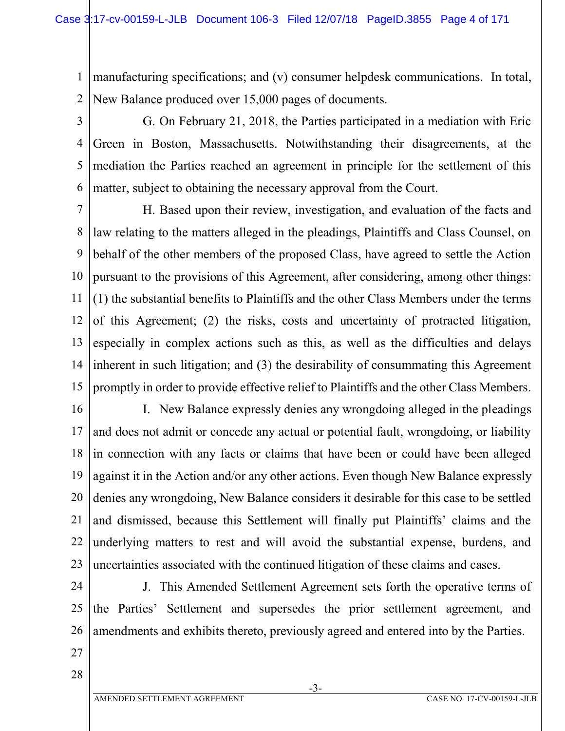1 2 manufacturing specifications; and (v) consumer helpdesk communications. In total, New Balance produced over 15,000 pages of documents.

3

4 5 6 G. On February 21, 2018, the Parties participated in a mediation with Eric Green in Boston, Massachusetts. Notwithstanding their disagreements, at the mediation the Parties reached an agreement in principle for the settlement of this matter, subject to obtaining the necessary approval from the Court.

7 8 9 10 11 12 13 14 15 H. Based upon their review, investigation, and evaluation of the facts and law relating to the matters alleged in the pleadings, Plaintiffs and Class Counsel, on behalf of the other members of the proposed Class, have agreed to settle the Action pursuant to the provisions of this Agreement, after considering, among other things: (1) the substantial benefits to Plaintiffs and the other Class Members under the terms of this Agreement; (2) the risks, costs and uncertainty of protracted litigation, especially in complex actions such as this, as well as the difficulties and delays inherent in such litigation; and (3) the desirability of consummating this Agreement promptly in order to provide effective relief to Plaintiffs and the other Class Members.

16 17 18 19 20 21 22 23 I. New Balance expressly denies any wrongdoing alleged in the pleadings and does not admit or concede any actual or potential fault, wrongdoing, or liability in connection with any facts or claims that have been or could have been alleged against it in the Action and/or any other actions. Even though New Balance expressly denies any wrongdoing, New Balance considers it desirable for this case to be settled and dismissed, because this Settlement will finally put Plaintiffs' claims and the underlying matters to rest and will avoid the substantial expense, burdens, and uncertainties associated with the continued litigation of these claims and cases.

24

25 26 J. This Amended Settlement Agreement sets forth the operative terms of the Parties' Settlement and supersedes the prior settlement agreement, and amendments and exhibits thereto, previously agreed and entered into by the Parties.

27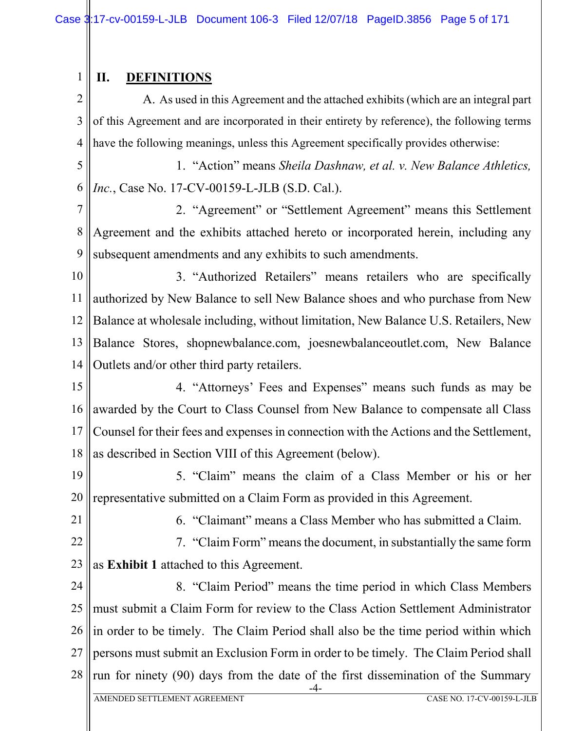# **II. DEFINITIONS**

1

2 3 4 A. As used in this Agreement and the attached exhibits (which are an integral part of this Agreement and are incorporated in their entirety by reference), the following terms have the following meanings, unless this Agreement specifically provides otherwise:

5 6 1. "Action" means *Sheila Dashnaw, et al. v. New Balance Athletics, Inc.*, Case No. 17-CV-00159-L-JLB (S.D. Cal.).

7 8 9 2. "Agreement" or "Settlement Agreement" means this Settlement Agreement and the exhibits attached hereto or incorporated herein, including any subsequent amendments and any exhibits to such amendments.

10 11 12 13 14 3. "Authorized Retailers" means retailers who are specifically authorized by New Balance to sell New Balance shoes and who purchase from New Balance at wholesale including, without limitation, New Balance U.S. Retailers, New Balance Stores, shopnewbalance.com, joesnewbalanceoutlet.com, New Balance Outlets and/or other third party retailers.

15 16 17 18 4. "Attorneys' Fees and Expenses" means such funds as may be awarded by the Court to Class Counsel from New Balance to compensate all Class Counsel for their fees and expenses in connection with the Actions and the Settlement, as described in Section VIII of this Agreement (below).

19 20 5. "Claim" means the claim of a Class Member or his or her representative submitted on a Claim Form as provided in this Agreement.

21

6. "Claimant" means a Class Member who has submitted a Claim.

22 23 7. "Claim Form" means the document, in substantially the same form as **Exhibit 1** attached to this Agreement.

24 25 26 27 28 -4- 8. "Claim Period" means the time period in which Class Members must submit a Claim Form for review to the Class Action Settlement Administrator in order to be timely. The Claim Period shall also be the time period within which persons must submit an Exclusion Form in order to be timely. The Claim Period shall run for ninety (90) days from the date of the first dissemination of the Summary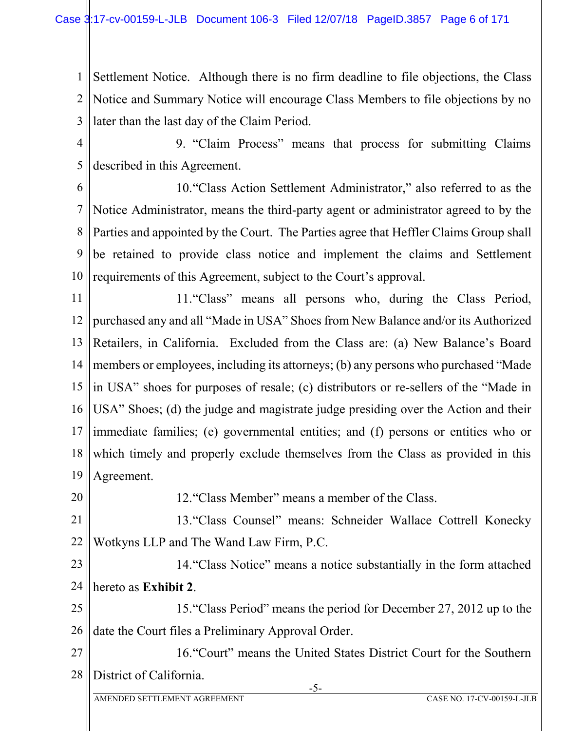1 2 3 Settlement Notice. Although there is no firm deadline to file objections, the Class Notice and Summary Notice will encourage Class Members to file objections by no later than the last day of the Claim Period.

4 5 9. "Claim Process" means that process for submitting Claims described in this Agreement.

6

7 8 9 10 10."Class Action Settlement Administrator," also referred to as the Notice Administrator, means the third-party agent or administrator agreed to by the Parties and appointed by the Court. The Parties agree that Heffler Claims Group shall be retained to provide class notice and implement the claims and Settlement requirements of this Agreement, subject to the Court's approval.

11 12 13 14 15 16 17 18 19 11."Class" means all persons who, during the Class Period, purchased any and all "Made in USA" Shoes from New Balance and/or its Authorized Retailers, in California. Excluded from the Class are: (a) New Balance's Board members or employees, including its attorneys; (b) any persons who purchased "Made in USA" shoes for purposes of resale; (c) distributors or re-sellers of the "Made in USA" Shoes; (d) the judge and magistrate judge presiding over the Action and their immediate families; (e) governmental entities; and (f) persons or entities who or which timely and properly exclude themselves from the Class as provided in this Agreement.

20 12."Class Member" means a member of the Class.

21 22 13."Class Counsel" means: Schneider Wallace Cottrell Konecky Wotkyns LLP and The Wand Law Firm, P.C.

23 24 14."Class Notice" means a notice substantially in the form attached hereto as **Exhibit 2**.

25 26 15."Class Period" means the period for December 27, 2012 up to the date the Court files a Preliminary Approval Order.

27 28 16."Court" means the United States District Court for the Southern District of California.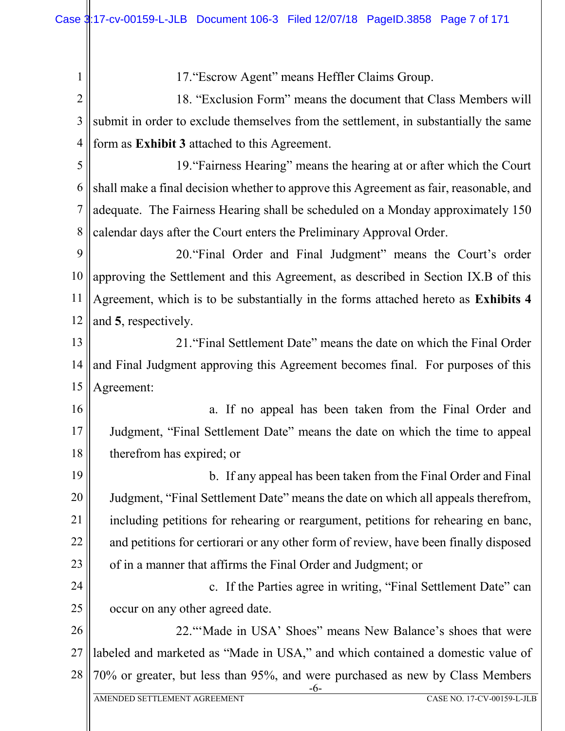1 2 3 4 5 6 7 8 9 10 11 12 13 14 15 16 17 18 19 20 21 22 23 24 25 26 27 28 -6- 17."Escrow Agent" means Heffler Claims Group. 18. "Exclusion Form" means the document that Class Members will submit in order to exclude themselves from the settlement, in substantially the same form as **Exhibit 3** attached to this Agreement. 19."Fairness Hearing" means the hearing at or after which the Court shall make a final decision whether to approve this Agreement as fair, reasonable, and adequate. The Fairness Hearing shall be scheduled on a Monday approximately 150 calendar days after the Court enters the Preliminary Approval Order. 20."Final Order and Final Judgment" means the Court's order approving the Settlement and this Agreement, as described in Section IX.B of this Agreement, which is to be substantially in the forms attached hereto as **Exhibits 4** and **5**, respectively. 21."Final Settlement Date" means the date on which the Final Order and Final Judgment approving this Agreement becomes final. For purposes of this Agreement: a. If no appeal has been taken from the Final Order and Judgment, "Final Settlement Date" means the date on which the time to appeal therefrom has expired; or b. If any appeal has been taken from the Final Order and Final Judgment, "Final Settlement Date" means the date on which all appeals therefrom, including petitions for rehearing or reargument, petitions for rehearing en banc, and petitions for certiorari or any other form of review, have been finally disposed of in a manner that affirms the Final Order and Judgment; or c. If the Parties agree in writing, "Final Settlement Date" can occur on any other agreed date. 22."'Made in USA' Shoes" means New Balance's shoes that were labeled and marketed as "Made in USA," and which contained a domestic value of 70% or greater, but less than 95%, and were purchased as new by Class Members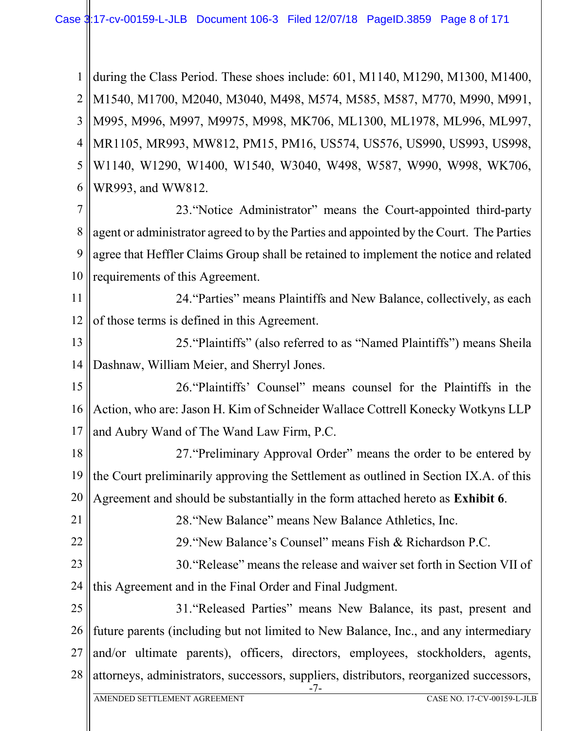1 2 3 4 5 6 during the Class Period. These shoes include: 601, M1140, M1290, M1300, M1400, M1540, M1700, M2040, M3040, M498, M574, M585, M587, M770, M990, M991, M995, M996, M997, M9975, M998, MK706, ML1300, ML1978, ML996, ML997, MR1105, MR993, MW812, PM15, PM16, US574, US576, US990, US993, US998, W1140, W1290, W1400, W1540, W3040, W498, W587, W990, W998, WK706, WR993, and WW812.

7 8 9 10 23."Notice Administrator" means the Court-appointed third-party agent or administrator agreed to by the Parties and appointed by the Court. The Parties agree that Heffler Claims Group shall be retained to implement the notice and related requirements of this Agreement.

11 12 24."Parties" means Plaintiffs and New Balance, collectively, as each of those terms is defined in this Agreement.

13 14 25."Plaintiffs" (also referred to as "Named Plaintiffs") means Sheila Dashnaw, William Meier, and Sherryl Jones.

15 16 17 26."Plaintiffs' Counsel" means counsel for the Plaintiffs in the Action, who are: Jason H. Kim of Schneider Wallace Cottrell Konecky Wotkyns LLP and Aubry Wand of The Wand Law Firm, P.C.

18 19 20 27."Preliminary Approval Order" means the order to be entered by the Court preliminarily approving the Settlement as outlined in Section IX.A. of this Agreement and should be substantially in the form attached hereto as **Exhibit 6**.

28."New Balance" means New Balance Athletics, Inc.

22 29."New Balance's Counsel" means Fish & Richardson P.C.

23 24 30."Release" means the release and waiver set forth in Section VII of this Agreement and in the Final Order and Final Judgment.

25 26 27 28 31."Released Parties" means New Balance, its past, present and future parents (including but not limited to New Balance, Inc., and any intermediary and/or ultimate parents), officers, directors, employees, stockholders, agents, attorneys, administrators, successors, suppliers, distributors, reorganized successors,

-7-

21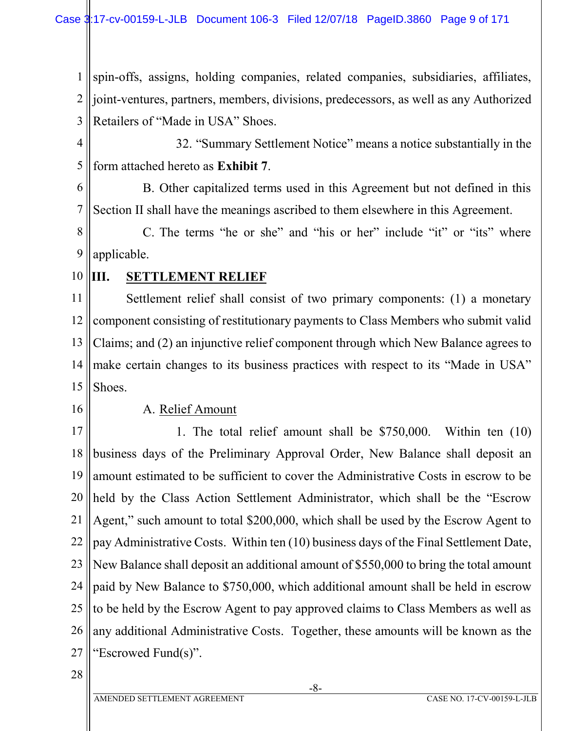1 2 3 spin-offs, assigns, holding companies, related companies, subsidiaries, affiliates, joint-ventures, partners, members, divisions, predecessors, as well as any Authorized Retailers of "Made in USA" Shoes.

4 5 32. "Summary Settlement Notice" means a notice substantially in the form attached hereto as **Exhibit 7**.

6 7 B. Other capitalized terms used in this Agreement but not defined in this Section II shall have the meanings ascribed to them elsewhere in this Agreement.

8 9 C. The terms "he or she" and "his or her" include "it" or "its" where applicable.

10 **III. SETTLEMENT RELIEF**

11 12 13 14 15 Settlement relief shall consist of two primary components: (1) a monetary component consisting of restitutionary payments to Class Members who submit valid Claims; and (2) an injunctive relief component through which New Balance agrees to make certain changes to its business practices with respect to its "Made in USA" Shoes.

16

### A. Relief Amount

17 18 19 20 21 22 23 24 25 26 27 1. The total relief amount shall be \$750,000. Within ten (10) business days of the Preliminary Approval Order, New Balance shall deposit an amount estimated to be sufficient to cover the Administrative Costs in escrow to be held by the Class Action Settlement Administrator, which shall be the "Escrow Agent," such amount to total \$200,000, which shall be used by the Escrow Agent to pay Administrative Costs. Within ten (10) business days of the Final Settlement Date, New Balance shall deposit an additional amount of \$550,000 to bring the total amount paid by New Balance to \$750,000, which additional amount shall be held in escrow to be held by the Escrow Agent to pay approved claims to Class Members as well as any additional Administrative Costs. Together, these amounts will be known as the "Escrowed Fund(s)".

28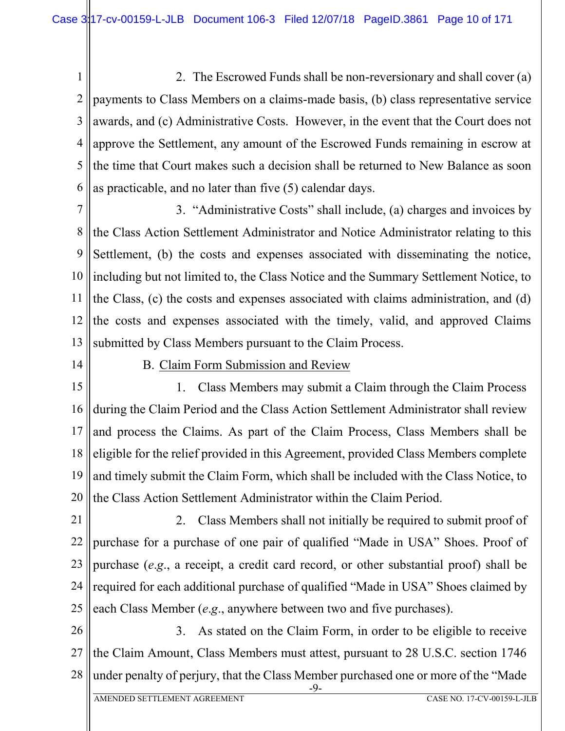1 2 3 4 5 6 2. The Escrowed Funds shall be non-reversionary and shall cover (a) payments to Class Members on a claims-made basis, (b) class representative service awards, and (c) Administrative Costs. However, in the event that the Court does not approve the Settlement, any amount of the Escrowed Funds remaining in escrow at the time that Court makes such a decision shall be returned to New Balance as soon as practicable, and no later than five (5) calendar days.

7 8 9 10 11 12 13 3. "Administrative Costs" shall include, (a) charges and invoices by the Class Action Settlement Administrator and Notice Administrator relating to this Settlement, (b) the costs and expenses associated with disseminating the notice, including but not limited to, the Class Notice and the Summary Settlement Notice, to the Class, (c) the costs and expenses associated with claims administration, and (d) the costs and expenses associated with the timely, valid, and approved Claims submitted by Class Members pursuant to the Claim Process.

14

### B. Claim Form Submission and Review

15 16 17 18 19 20 1. Class Members may submit a Claim through the Claim Process during the Claim Period and the Class Action Settlement Administrator shall review and process the Claims. As part of the Claim Process, Class Members shall be eligible for the relief provided in this Agreement, provided Class Members complete and timely submit the Claim Form, which shall be included with the Class Notice, to the Class Action Settlement Administrator within the Claim Period.

21 22 23 24 25 2. Class Members shall not initially be required to submit proof of purchase for a purchase of one pair of qualified "Made in USA" Shoes. Proof of purchase (*e*.*g*., a receipt, a credit card record, or other substantial proof) shall be required for each additional purchase of qualified "Made in USA" Shoes claimed by each Class Member (*e*.*g*., anywhere between two and five purchases).

26 27 28 3. As stated on the Claim Form, in order to be eligible to receive the Claim Amount, Class Members must attest, pursuant to 28 U.S.C. section 1746 under penalty of perjury, that the Class Member purchased one or more of the "Made

-9-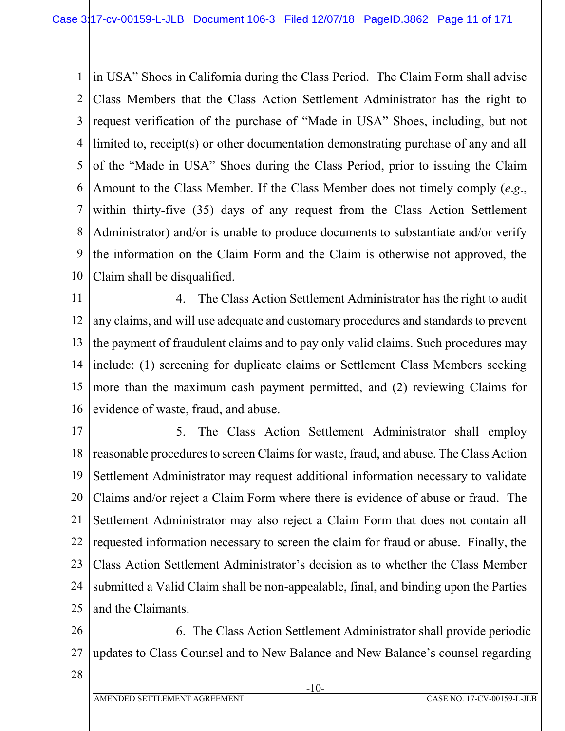1 2 3 4 5 6 7 8 9 10 in USA" Shoes in California during the Class Period. The Claim Form shall advise Class Members that the Class Action Settlement Administrator has the right to request verification of the purchase of "Made in USA" Shoes, including, but not limited to, receipt(s) or other documentation demonstrating purchase of any and all of the "Made in USA" Shoes during the Class Period, prior to issuing the Claim Amount to the Class Member. If the Class Member does not timely comply (*e*.*g*., within thirty-five (35) days of any request from the Class Action Settlement Administrator) and/or is unable to produce documents to substantiate and/or verify the information on the Claim Form and the Claim is otherwise not approved, the Claim shall be disqualified.

11 12 13 14 15 16 4. The Class Action Settlement Administrator has the right to audit any claims, and will use adequate and customary procedures and standards to prevent the payment of fraudulent claims and to pay only valid claims. Such procedures may include: (1) screening for duplicate claims or Settlement Class Members seeking more than the maximum cash payment permitted, and (2) reviewing Claims for evidence of waste, fraud, and abuse.

17 18 19 20 21 22 23 24 25 5. The Class Action Settlement Administrator shall employ reasonable procedures to screen Claims for waste, fraud, and abuse. The Class Action Settlement Administrator may request additional information necessary to validate Claims and/or reject a Claim Form where there is evidence of abuse or fraud. The Settlement Administrator may also reject a Claim Form that does not contain all requested information necessary to screen the claim for fraud or abuse. Finally, the Class Action Settlement Administrator's decision as to whether the Class Member submitted a Valid Claim shall be non-appealable, final, and binding upon the Parties and the Claimants.

26 27 6. The Class Action Settlement Administrator shall provide periodic updates to Class Counsel and to New Balance and New Balance's counsel regarding

28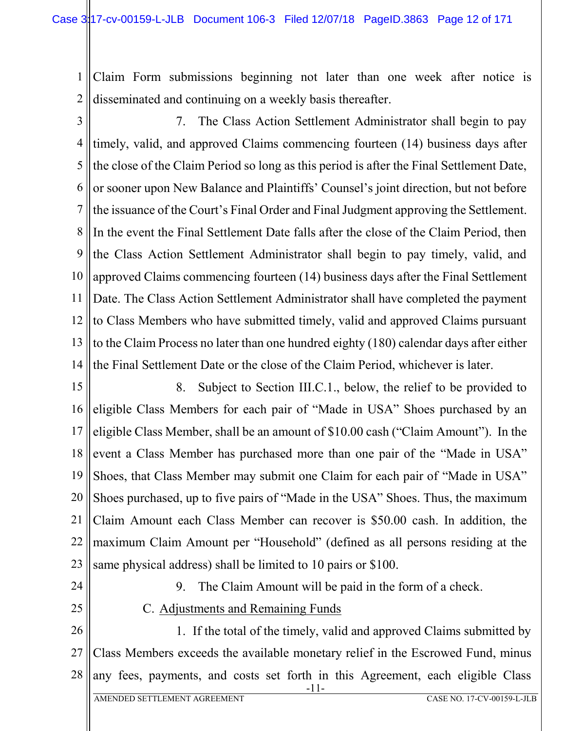1 2 Claim Form submissions beginning not later than one week after notice is disseminated and continuing on a weekly basis thereafter.

3 4 5 6 7 8 9 10 11 12 13 14 7. The Class Action Settlement Administrator shall begin to pay timely, valid, and approved Claims commencing fourteen (14) business days after the close of the Claim Period so long as this period is after the Final Settlement Date, or sooner upon New Balance and Plaintiffs' Counsel's joint direction, but not before the issuance of the Court's Final Order and Final Judgment approving the Settlement. In the event the Final Settlement Date falls after the close of the Claim Period, then the Class Action Settlement Administrator shall begin to pay timely, valid, and approved Claims commencing fourteen (14) business days after the Final Settlement Date. The Class Action Settlement Administrator shall have completed the payment to Class Members who have submitted timely, valid and approved Claims pursuant to the Claim Process no later than one hundred eighty (180) calendar days after either the Final Settlement Date or the close of the Claim Period, whichever is later.

15 16 17 18 19 20 21 22 23 8. Subject to Section III.C.1., below, the relief to be provided to eligible Class Members for each pair of "Made in USA" Shoes purchased by an eligible Class Member, shall be an amount of \$10.00 cash ("Claim Amount"). In the event a Class Member has purchased more than one pair of the "Made in USA" Shoes, that Class Member may submit one Claim for each pair of "Made in USA" Shoes purchased, up to five pairs of "Made in the USA" Shoes. Thus, the maximum Claim Amount each Class Member can recover is \$50.00 cash. In addition, the maximum Claim Amount per "Household" (defined as all persons residing at the same physical address) shall be limited to 10 pairs or \$100.

- 24
- 25

9. The Claim Amount will be paid in the form of a check.

C. Adjustments and Remaining Funds

26 27 28 -11- 1. If the total of the timely, valid and approved Claims submitted by Class Members exceeds the available monetary relief in the Escrowed Fund, minus any fees, payments, and costs set forth in this Agreement, each eligible Class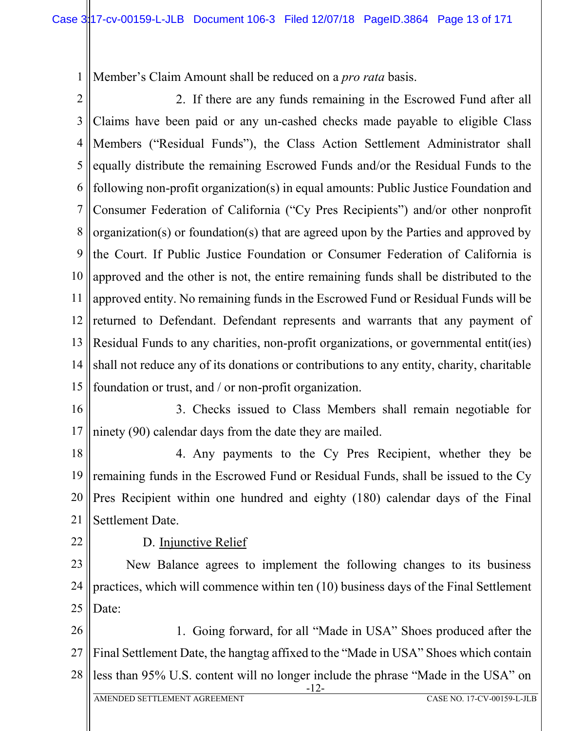1 Member's Claim Amount shall be reduced on a *pro rata* basis.

2 3 4 5 6 7 8 9 10 11 12 13 14 15 2. If there are any funds remaining in the Escrowed Fund after all Claims have been paid or any un-cashed checks made payable to eligible Class Members ("Residual Funds"), the Class Action Settlement Administrator shall equally distribute the remaining Escrowed Funds and/or the Residual Funds to the following non-profit organization(s) in equal amounts: Public Justice Foundation and Consumer Federation of California ("Cy Pres Recipients") and/or other nonprofit organization(s) or foundation(s) that are agreed upon by the Parties and approved by the Court. If Public Justice Foundation or Consumer Federation of California is approved and the other is not, the entire remaining funds shall be distributed to the approved entity. No remaining funds in the Escrowed Fund or Residual Funds will be returned to Defendant. Defendant represents and warrants that any payment of Residual Funds to any charities, non-profit organizations, or governmental entit(ies) shall not reduce any of its donations or contributions to any entity, charity, charitable foundation or trust, and / or non-profit organization.

16

17 3. Checks issued to Class Members shall remain negotiable for ninety (90) calendar days from the date they are mailed.

18 19 20 21 4. Any payments to the Cy Pres Recipient, whether they be remaining funds in the Escrowed Fund or Residual Funds, shall be issued to the Cy Pres Recipient within one hundred and eighty (180) calendar days of the Final Settlement Date.

22

D. Injunctive Relief

23 24 25 New Balance agrees to implement the following changes to its business practices, which will commence within ten (10) business days of the Final Settlement Date:

26 27 28 1. Going forward, for all "Made in USA" Shoes produced after the Final Settlement Date, the hangtag affixed to the "Made in USA" Shoes which contain less than 95% U.S. content will no longer include the phrase "Made in the USA" on

-12-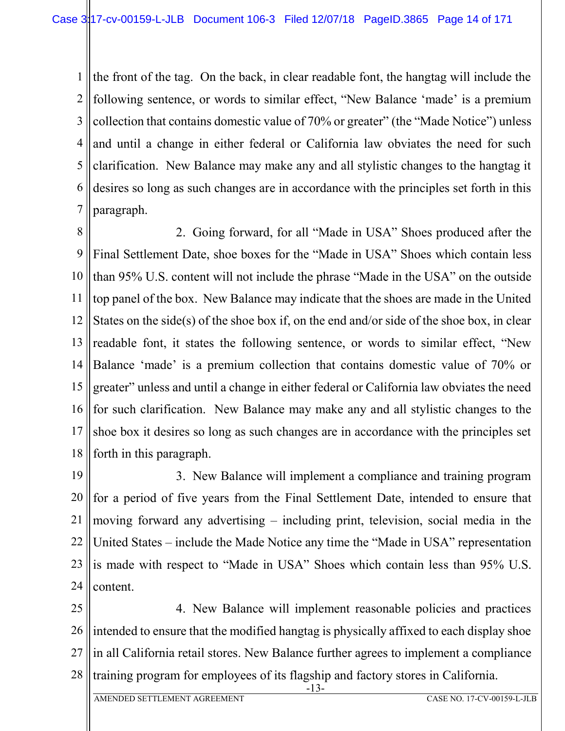1 2 3 4 5 6 7 the front of the tag. On the back, in clear readable font, the hangtag will include the following sentence, or words to similar effect, "New Balance 'made' is a premium collection that contains domestic value of 70% or greater" (the "Made Notice") unless and until a change in either federal or California law obviates the need for such clarification. New Balance may make any and all stylistic changes to the hangtag it desires so long as such changes are in accordance with the principles set forth in this paragraph.

8 9 10 11 12 13 14 15 16 17 18 2. Going forward, for all "Made in USA" Shoes produced after the Final Settlement Date, shoe boxes for the "Made in USA" Shoes which contain less than 95% U.S. content will not include the phrase "Made in the USA" on the outside top panel of the box. New Balance may indicate that the shoes are made in the United States on the side(s) of the shoe box if, on the end and/or side of the shoe box, in clear readable font, it states the following sentence, or words to similar effect, "New Balance 'made' is a premium collection that contains domestic value of 70% or greater" unless and until a change in either federal or California law obviates the need for such clarification. New Balance may make any and all stylistic changes to the shoe box it desires so long as such changes are in accordance with the principles set forth in this paragraph.

19 20 21 22 23 24 3. New Balance will implement a compliance and training program for a period of five years from the Final Settlement Date, intended to ensure that moving forward any advertising – including print, television, social media in the United States – include the Made Notice any time the "Made in USA" representation is made with respect to "Made in USA" Shoes which contain less than 95% U.S. content.

25 26 27 28 4. New Balance will implement reasonable policies and practices intended to ensure that the modified hangtag is physically affixed to each display shoe in all California retail stores. New Balance further agrees to implement a compliance training program for employees of its flagship and factory stores in California.

-13-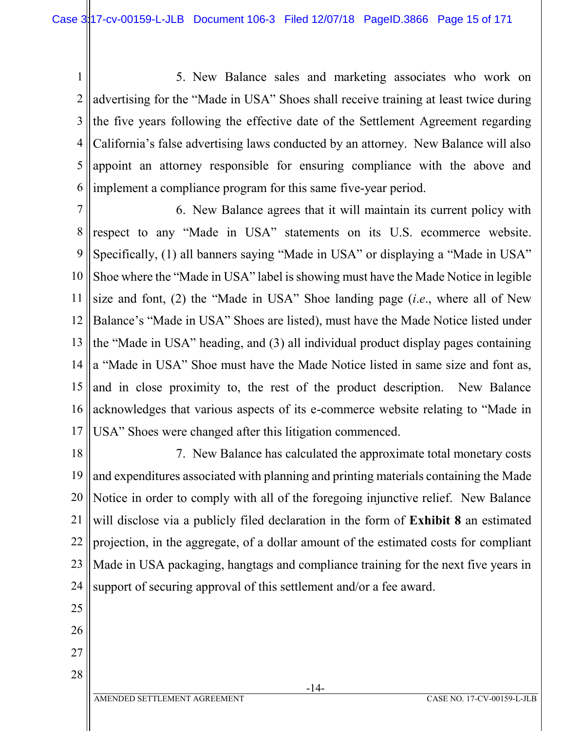1 2 3 4 5 6 5. New Balance sales and marketing associates who work on advertising for the "Made in USA" Shoes shall receive training at least twice during the five years following the effective date of the Settlement Agreement regarding California's false advertising laws conducted by an attorney. New Balance will also appoint an attorney responsible for ensuring compliance with the above and implement a compliance program for this same five-year period.

7 8 9 10 11 12 13 14 15 16 17 6. New Balance agrees that it will maintain its current policy with respect to any "Made in USA" statements on its U.S. ecommerce website. Specifically, (1) all banners saying "Made in USA" or displaying a "Made in USA" Shoe where the "Made in USA" label is showing must have the Made Notice in legible size and font, (2) the "Made in USA" Shoe landing page (*i*.*e*., where all of New Balance's "Made in USA" Shoes are listed), must have the Made Notice listed under the "Made in USA" heading, and (3) all individual product display pages containing a "Made in USA" Shoe must have the Made Notice listed in same size and font as, and in close proximity to, the rest of the product description. New Balance acknowledges that various aspects of its e-commerce website relating to "Made in USA" Shoes were changed after this litigation commenced.

18 19 20 21 22 23 24 7. New Balance has calculated the approximate total monetary costs and expenditures associated with planning and printing materials containing the Made Notice in order to comply with all of the foregoing injunctive relief. New Balance will disclose via a publicly filed declaration in the form of **Exhibit 8** an estimated projection, in the aggregate, of a dollar amount of the estimated costs for compliant Made in USA packaging, hangtags and compliance training for the next five years in support of securing approval of this settlement and/or a fee award.

25 26

27

28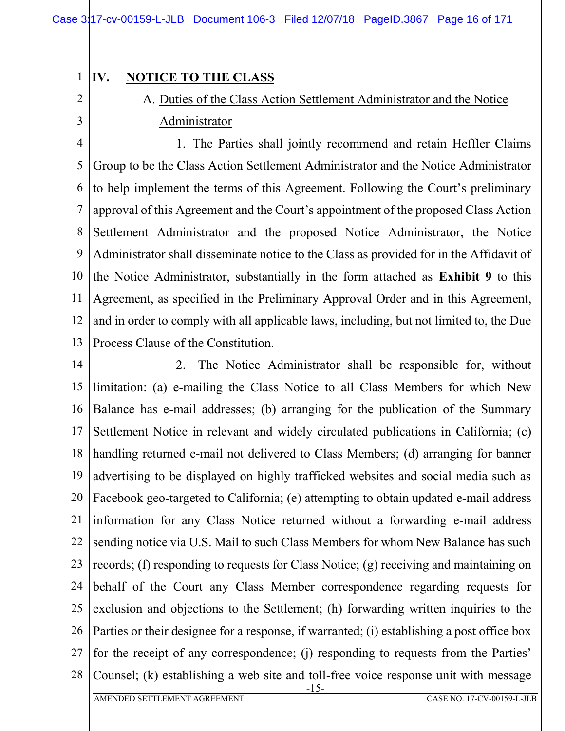# **IV. NOTICE TO THE CLASS**

1

2

3

# A. Duties of the Class Action Settlement Administrator and the Notice Administrator

4 5 6 7 8 9 10 11 12 13 1. The Parties shall jointly recommend and retain Heffler Claims Group to be the Class Action Settlement Administrator and the Notice Administrator to help implement the terms of this Agreement. Following the Court's preliminary approval of this Agreement and the Court's appointment of the proposed Class Action Settlement Administrator and the proposed Notice Administrator, the Notice Administrator shall disseminate notice to the Class as provided for in the Affidavit of the Notice Administrator, substantially in the form attached as **Exhibit 9** to this Agreement, as specified in the Preliminary Approval Order and in this Agreement, and in order to comply with all applicable laws, including, but not limited to, the Due Process Clause of the Constitution.

14 15 16 17 18 19 20 21 22 23 24 25 26 27 28 -15- 2. The Notice Administrator shall be responsible for, without limitation: (a) e-mailing the Class Notice to all Class Members for which New Balance has e-mail addresses; (b) arranging for the publication of the Summary Settlement Notice in relevant and widely circulated publications in California; (c) handling returned e-mail not delivered to Class Members; (d) arranging for banner advertising to be displayed on highly trafficked websites and social media such as Facebook geo-targeted to California; (e) attempting to obtain updated e-mail address information for any Class Notice returned without a forwarding e-mail address sending notice via U.S. Mail to such Class Members for whom New Balance has such records; (f) responding to requests for Class Notice; (g) receiving and maintaining on behalf of the Court any Class Member correspondence regarding requests for exclusion and objections to the Settlement; (h) forwarding written inquiries to the Parties or their designee for a response, if warranted; (i) establishing a post office box for the receipt of any correspondence; (j) responding to requests from the Parties' Counsel; (k) establishing a web site and toll-free voice response unit with message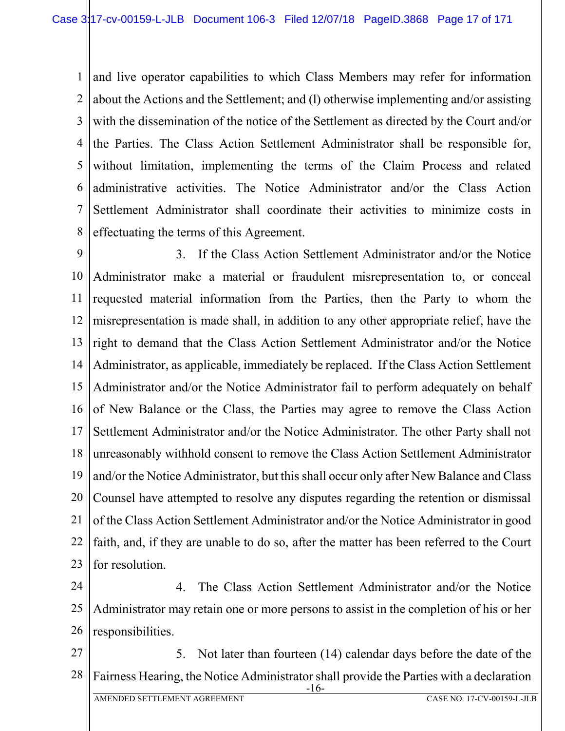1 2 3 4 5 6 7 8 and live operator capabilities to which Class Members may refer for information about the Actions and the Settlement; and (l) otherwise implementing and/or assisting with the dissemination of the notice of the Settlement as directed by the Court and/or the Parties. The Class Action Settlement Administrator shall be responsible for, without limitation, implementing the terms of the Claim Process and related administrative activities. The Notice Administrator and/or the Class Action Settlement Administrator shall coordinate their activities to minimize costs in effectuating the terms of this Agreement.

9 10 11 12 13 14 15 16 17 18 19 20 21 22 23 3. If the Class Action Settlement Administrator and/or the Notice Administrator make a material or fraudulent misrepresentation to, or conceal requested material information from the Parties, then the Party to whom the misrepresentation is made shall, in addition to any other appropriate relief, have the right to demand that the Class Action Settlement Administrator and/or the Notice Administrator, as applicable, immediately be replaced. If the Class Action Settlement Administrator and/or the Notice Administrator fail to perform adequately on behalf of New Balance or the Class, the Parties may agree to remove the Class Action Settlement Administrator and/or the Notice Administrator. The other Party shall not unreasonably withhold consent to remove the Class Action Settlement Administrator and/or the Notice Administrator, but this shall occur only after New Balance and Class Counsel have attempted to resolve any disputes regarding the retention or dismissal of the Class Action Settlement Administrator and/or the Notice Administrator in good faith, and, if they are unable to do so, after the matter has been referred to the Court for resolution.

24 25 26 4. The Class Action Settlement Administrator and/or the Notice Administrator may retain one or more persons to assist in the completion of his or her responsibilities.

27 28 -16- AMENDED SETTLEMENT AGREEMENT CASE NO. 17-CV-00159-L-JLB 5. Not later than fourteen (14) calendar days before the date of the Fairness Hearing, the Notice Administrator shall provide the Parties with a declaration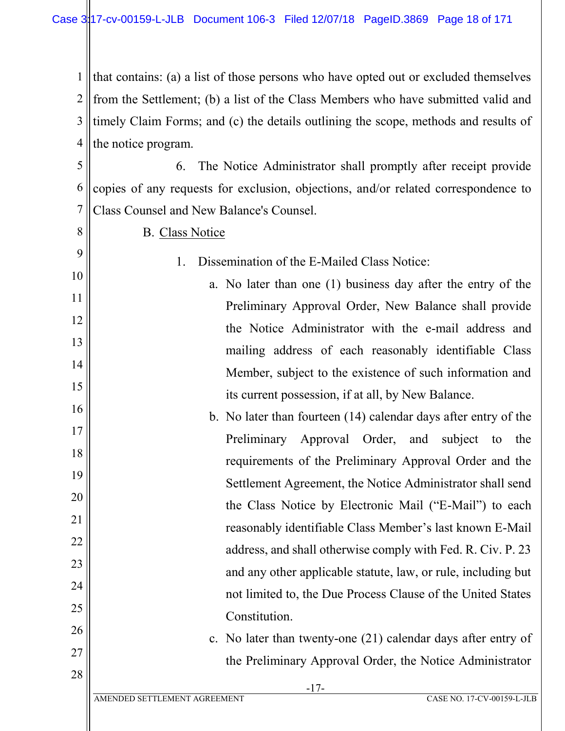1 2 3 4 that contains: (a) a list of those persons who have opted out or excluded themselves from the Settlement; (b) a list of the Class Members who have submitted valid and timely Claim Forms; and (c) the details outlining the scope, methods and results of the notice program.

5 6 7 6. The Notice Administrator shall promptly after receipt provide copies of any requests for exclusion, objections, and/or related correspondence to Class Counsel and New Balance's Counsel.

8 9

27

28

B. Class Notice

- 1. Dissemination of the E-Mailed Class Notice:
- 10 11 12 13 14 15 a. No later than one (1) business day after the entry of the Preliminary Approval Order, New Balance shall provide the Notice Administrator with the e-mail address and mailing address of each reasonably identifiable Class Member, subject to the existence of such information and its current possession, if at all, by New Balance.
- 16 17 18 19 20 21 22 23 24 25 26 b. No later than fourteen (14) calendar days after entry of the Preliminary Approval Order, and subject to the requirements of the Preliminary Approval Order and the Settlement Agreement, the Notice Administrator shall send the Class Notice by Electronic Mail ("E-Mail") to each reasonably identifiable Class Member's last known E-Mail address, and shall otherwise comply with Fed. R. Civ. P. 23 and any other applicable statute, law, or rule, including but not limited to, the Due Process Clause of the United States **Constitution** 
	- c. No later than twenty-one (21) calendar days after entry of the Preliminary Approval Order, the Notice Administrator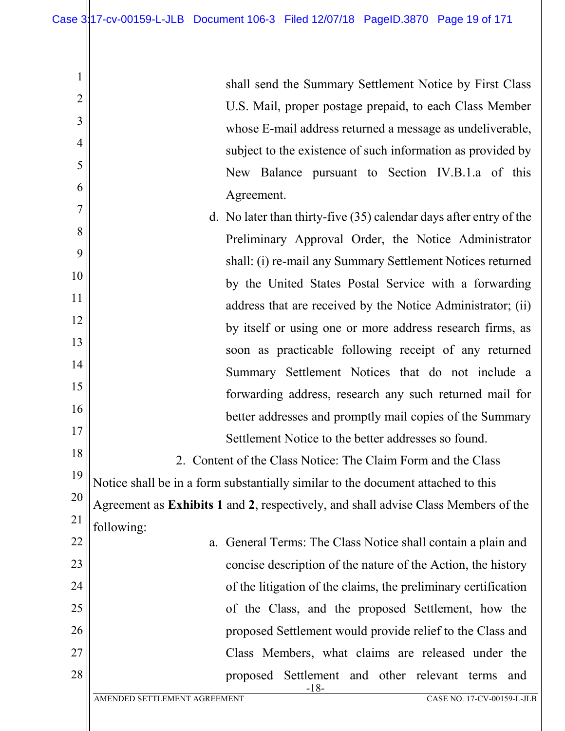1

2

3

4

5

6

| shall send the Summary Settlement Notice by First Class     |  |  |  |  |  |
|-------------------------------------------------------------|--|--|--|--|--|
| U.S. Mail, proper postage prepaid, to each Class Member     |  |  |  |  |  |
| whose E-mail address returned a message as undeliverable,   |  |  |  |  |  |
| subject to the existence of such information as provided by |  |  |  |  |  |
| New Balance pursuant to Section IV.B.1.a of this            |  |  |  |  |  |
| Agreement.                                                  |  |  |  |  |  |

| $\overline{7}$ | d. No later than thirty-five $(35)$ calendar days after entry of the               |
|----------------|------------------------------------------------------------------------------------|
| 8              | Preliminary Approval Order, the Notice Administrator                               |
| 9              | shall: (i) re-mail any Summary Settlement Notices returned                         |
| 10             | by the United States Postal Service with a forwarding                              |
| 11             | address that are received by the Notice Administrator; (ii)                        |
| 12             | by itself or using one or more address research firms, as                          |
| 13             | soon as practicable following receipt of any returned                              |
| 14             | Summary Settlement Notices that do not include a                                   |
| 15             | forwarding address, research any such returned mail for                            |
| 16             | better addresses and promptly mail copies of the Summary                           |
| 17             |                                                                                    |
| 18             | Settlement Notice to the better addresses so found.                                |
|                | 2. Content of the Class Notice: The Claim Form and the Class                       |
| 19             | Notice shall be in a form substantially similar to the document attached to this   |
| 20             | Agreement as Exhibits 1 and 2, respectively, and shall advise Class Members of the |
| 21             | following:                                                                         |
| 22             | General Terms: The Class Notice shall contain a plain and<br>a.                    |
| 23             | concise description of the nature of the Action, the history                       |
| 24             | of the litigation of the claims, the preliminary certification                     |
| 25             | of the Class, and the proposed Settlement, how the                                 |
| 26             | proposed Settlement would provide relief to the Class and                          |
| 27             | Class Members, what claims are released under the                                  |

-18-

proposed Settlement and other relevant terms and

28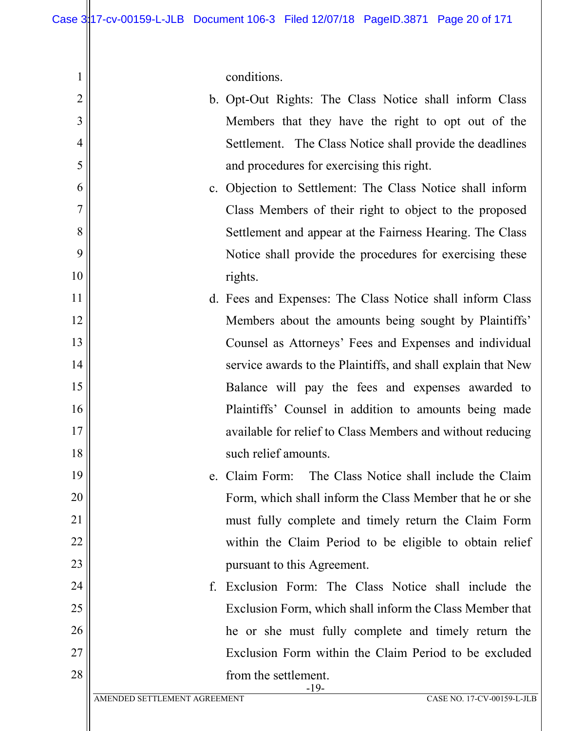conditions.

1

| $\overline{2}$ |                              | b. Opt-Out Rights: The Class Notice shall inform Class       |
|----------------|------------------------------|--------------------------------------------------------------|
| 3              |                              | Members that they have the right to opt out of the           |
| $\overline{4}$ |                              | Settlement. The Class Notice shall provide the deadlines     |
| 5              |                              | and procedures for exercising this right.                    |
| 6              |                              | c. Objection to Settlement: The Class Notice shall inform    |
| 7              |                              | Class Members of their right to object to the proposed       |
| 8              |                              | Settlement and appear at the Fairness Hearing. The Class     |
| 9              |                              | Notice shall provide the procedures for exercising these     |
| 10             |                              | rights.                                                      |
| 11             |                              | d. Fees and Expenses: The Class Notice shall inform Class    |
| 12             |                              | Members about the amounts being sought by Plaintiffs'        |
| 13             |                              | Counsel as Attorneys' Fees and Expenses and individual       |
| 14             |                              | service awards to the Plaintiffs, and shall explain that New |
| 15             |                              | Balance will pay the fees and expenses awarded to            |
| 16             |                              | Plaintiffs' Counsel in addition to amounts being made        |
| 17             |                              | available for relief to Class Members and without reducing   |
| 18             |                              | such relief amounts.                                         |
| 19             |                              | The Class Notice shall include the Claim<br>e. Claim Form:   |
| 20             |                              | Form, which shall inform the Class Member that he or she     |
| 21             |                              | must fully complete and timely return the Claim Form         |
| 22             |                              | within the Claim Period to be eligible to obtain relief      |
| 23             |                              | pursuant to this Agreement.                                  |
| 24             | f.                           | Exclusion Form: The Class Notice shall include the           |
| 25             |                              | Exclusion Form, which shall inform the Class Member that     |
| 26             |                              | he or she must fully complete and timely return the          |
| 27             |                              | Exclusion Form within the Claim Period to be excluded        |
| 28             |                              | from the settlement.<br>$-19-$                               |
|                | AMENDED SETTLEMENT AGREEMENT | CASE NO. 17-CV-00159-L-JLB                                   |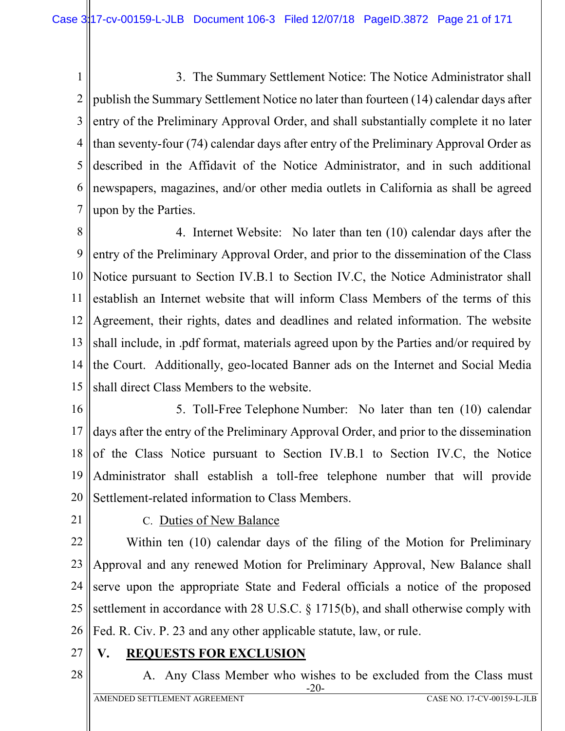1 2 3 4 5 6 7 3. The Summary Settlement Notice: The Notice Administrator shall publish the Summary Settlement Notice no later than fourteen (14) calendar days after entry of the Preliminary Approval Order, and shall substantially complete it no later than seventy-four (74) calendar days after entry of the Preliminary Approval Order as described in the Affidavit of the Notice Administrator, and in such additional newspapers, magazines, and/or other media outlets in California as shall be agreed upon by the Parties.

8 9 10 11 12 13 14 15 4. Internet Website: No later than ten (10) calendar days after the entry of the Preliminary Approval Order, and prior to the dissemination of the Class Notice pursuant to Section IV.B.1 to Section IV.C, the Notice Administrator shall establish an Internet website that will inform Class Members of the terms of this Agreement, their rights, dates and deadlines and related information. The website shall include, in .pdf format, materials agreed upon by the Parties and/or required by the Court. Additionally, geo-located Banner ads on the Internet and Social Media shall direct Class Members to the website.

16 17 18 19 20 5. Toll-Free Telephone Number: No later than ten (10) calendar days after the entry of the Preliminary Approval Order, and prior to the dissemination of the Class Notice pursuant to Section IV.B.1 to Section IV.C, the Notice Administrator shall establish a toll-free telephone number that will provide Settlement-related information to Class Members.

21

### C. Duties of New Balance

22 23 24 25 26 Within ten (10) calendar days of the filing of the Motion for Preliminary Approval and any renewed Motion for Preliminary Approval, New Balance shall serve upon the appropriate State and Federal officials a notice of the proposed settlement in accordance with 28 U.S.C. § 1715(b), and shall otherwise comply with Fed. R. Civ. P. 23 and any other applicable statute, law, or rule.

- 27 **V. REQUESTS FOR EXCLUSION**
- 28

#### -20- A. Any Class Member who wishes to be excluded from the Class must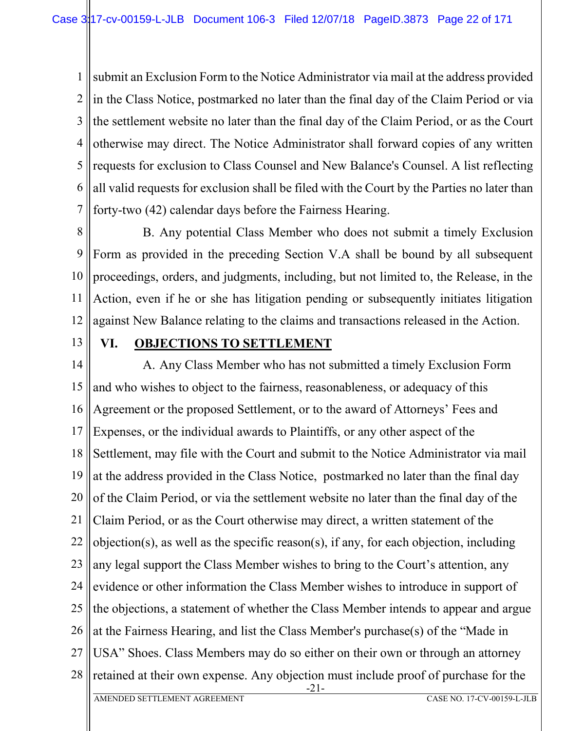1 2 3 4 5 6 7 submit an Exclusion Form to the Notice Administrator via mail at the address provided in the Class Notice, postmarked no later than the final day of the Claim Period or via the settlement website no later than the final day of the Claim Period, or as the Court otherwise may direct. The Notice Administrator shall forward copies of any written requests for exclusion to Class Counsel and New Balance's Counsel. A list reflecting all valid requests for exclusion shall be filed with the Court by the Parties no later than forty-two (42) calendar days before the Fairness Hearing.

8 9 10 11 12 B. Any potential Class Member who does not submit a timely Exclusion Form as provided in the preceding Section V.A shall be bound by all subsequent proceedings, orders, and judgments, including, but not limited to, the Release, in the Action, even if he or she has litigation pending or subsequently initiates litigation against New Balance relating to the claims and transactions released in the Action.

13

### **VI. OBJECTIONS TO SETTLEMENT**

14 15 16 17 18 19 20 21 22 23 24 25 26 27 28 -21- AMENDED SETTLEMENT AGREEMENT CASE NO. 17-CV-00159-L-JLB A. Any Class Member who has not submitted a timely Exclusion Form and who wishes to object to the fairness, reasonableness, or adequacy of this Agreement or the proposed Settlement, or to the award of Attorneys' Fees and Expenses, or the individual awards to Plaintiffs, or any other aspect of the Settlement, may file with the Court and submit to the Notice Administrator via mail at the address provided in the Class Notice, postmarked no later than the final day of the Claim Period, or via the settlement website no later than the final day of the Claim Period, or as the Court otherwise may direct, a written statement of the objection(s), as well as the specific reason(s), if any, for each objection, including any legal support the Class Member wishes to bring to the Court's attention, any evidence or other information the Class Member wishes to introduce in support of the objections, a statement of whether the Class Member intends to appear and argue at the Fairness Hearing, and list the Class Member's purchase(s) of the "Made in USA" Shoes. Class Members may do so either on their own or through an attorney retained at their own expense. Any objection must include proof of purchase for the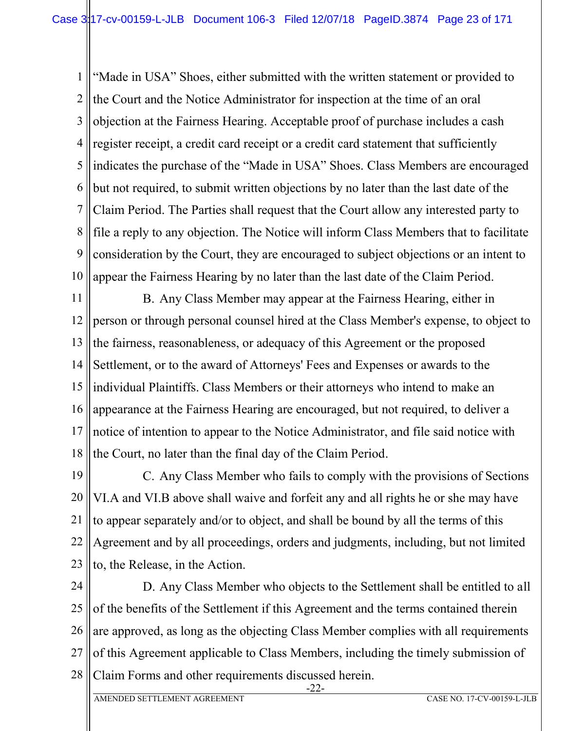1 2 3 4 5 6 7 8 9 10 "Made in USA" Shoes, either submitted with the written statement or provided to the Court and the Notice Administrator for inspection at the time of an oral objection at the Fairness Hearing. Acceptable proof of purchase includes a cash register receipt, a credit card receipt or a credit card statement that sufficiently indicates the purchase of the "Made in USA" Shoes. Class Members are encouraged but not required, to submit written objections by no later than the last date of the Claim Period. The Parties shall request that the Court allow any interested party to file a reply to any objection. The Notice will inform Class Members that to facilitate consideration by the Court, they are encouraged to subject objections or an intent to appear the Fairness Hearing by no later than the last date of the Claim Period.

11 12 13 14 15 16 17 18 B. Any Class Member may appear at the Fairness Hearing, either in person or through personal counsel hired at the Class Member's expense, to object to the fairness, reasonableness, or adequacy of this Agreement or the proposed Settlement, or to the award of Attorneys' Fees and Expenses or awards to the individual Plaintiffs. Class Members or their attorneys who intend to make an appearance at the Fairness Hearing are encouraged, but not required, to deliver a notice of intention to appear to the Notice Administrator, and file said notice with the Court, no later than the final day of the Claim Period.

19 20 21 22 23 C. Any Class Member who fails to comply with the provisions of Sections VI.A and VI.B above shall waive and forfeit any and all rights he or she may have to appear separately and/or to object, and shall be bound by all the terms of this Agreement and by all proceedings, orders and judgments, including, but not limited to, the Release, in the Action.

24 25 26 27 28 D. Any Class Member who objects to the Settlement shall be entitled to all of the benefits of the Settlement if this Agreement and the terms contained therein are approved, as long as the objecting Class Member complies with all requirements of this Agreement applicable to Class Members, including the timely submission of Claim Forms and other requirements discussed herein.

-22-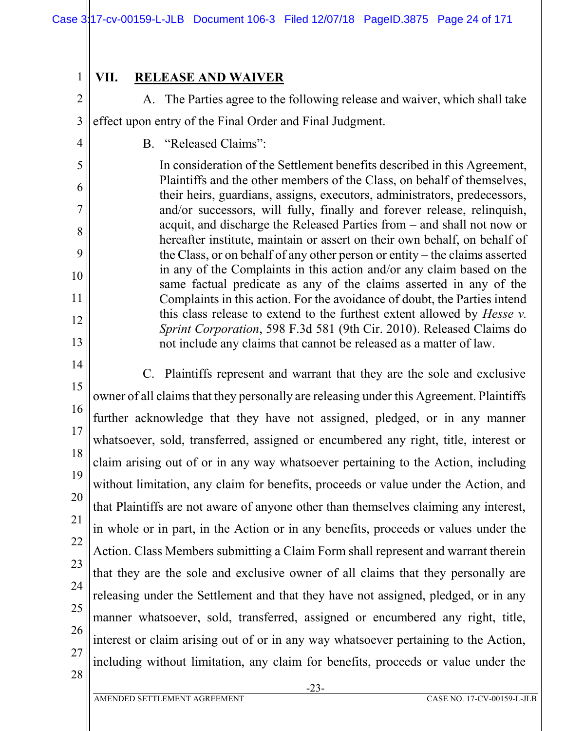# **VII. RELEASE AND WAIVER**

1

2

4

5

6

7

8

9

10

11

12

13

A. The Parties agree to the following release and waiver, which shall take

3 effect upon entry of the Final Order and Final Judgment.

B. "Released Claims":

In consideration of the Settlement benefits described in this Agreement, Plaintiffs and the other members of the Class, on behalf of themselves, their heirs, guardians, assigns, executors, administrators, predecessors, and/or successors, will fully, finally and forever release, relinquish, acquit, and discharge the Released Parties from – and shall not now or hereafter institute, maintain or assert on their own behalf, on behalf of the Class, or on behalf of any other person or entity – the claims asserted in any of the Complaints in this action and/or any claim based on the same factual predicate as any of the claims asserted in any of the Complaints in this action. For the avoidance of doubt, the Parties intend this class release to extend to the furthest extent allowed by *Hesse v. Sprint Corporation*, 598 F.3d 581 (9th Cir. 2010). Released Claims do not include any claims that cannot be released as a matter of law.

14 15 16 17 18 19 20 21 22 23 24 25 26 27 28 C. Plaintiffs represent and warrant that they are the sole and exclusive owner of all claims that they personally are releasing under this Agreement. Plaintiffs further acknowledge that they have not assigned, pledged, or in any manner whatsoever, sold, transferred, assigned or encumbered any right, title, interest or claim arising out of or in any way whatsoever pertaining to the Action, including without limitation, any claim for benefits, proceeds or value under the Action, and that Plaintiffs are not aware of anyone other than themselves claiming any interest, in whole or in part, in the Action or in any benefits, proceeds or values under the Action. Class Members submitting a Claim Form shall represent and warrant therein that they are the sole and exclusive owner of all claims that they personally are releasing under the Settlement and that they have not assigned, pledged, or in any manner whatsoever, sold, transferred, assigned or encumbered any right, title, interest or claim arising out of or in any way whatsoever pertaining to the Action, including without limitation, any claim for benefits, proceeds or value under the

AMENDED SETTLEMENT AGREEMENT CASE NO. 17-CV-00159-L-JLB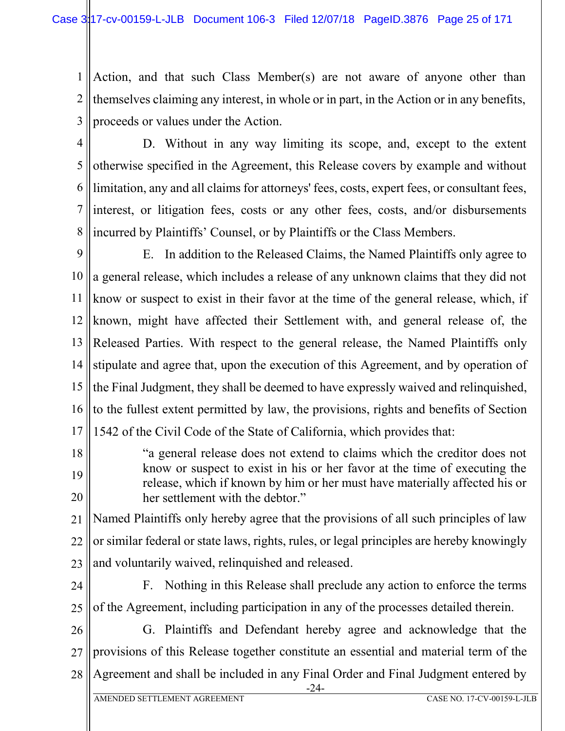1 2 3 Action, and that such Class Member(s) are not aware of anyone other than themselves claiming any interest, in whole or in part, in the Action or in any benefits, proceeds or values under the Action.

4 5

6

7

8

D. Without in any way limiting its scope, and, except to the extent otherwise specified in the Agreement, this Release covers by example and without limitation, any and all claims for attorneys' fees, costs, expert fees, or consultant fees, interest, or litigation fees, costs or any other fees, costs, and/or disbursements incurred by Plaintiffs' Counsel, or by Plaintiffs or the Class Members.

9 10 11 12 13 14 15 16 17 E. In addition to the Released Claims, the Named Plaintiffs only agree to a general release, which includes a release of any unknown claims that they did not know or suspect to exist in their favor at the time of the general release, which, if known, might have affected their Settlement with, and general release of, the Released Parties. With respect to the general release, the Named Plaintiffs only stipulate and agree that, upon the execution of this Agreement, and by operation of the Final Judgment, they shall be deemed to have expressly waived and relinquished, to the fullest extent permitted by law, the provisions, rights and benefits of Section 1542 of the Civil Code of the State of California, which provides that:

18 19 20 "a general release does not extend to claims which the creditor does not know or suspect to exist in his or her favor at the time of executing the release, which if known by him or her must have materially affected his or her settlement with the debtor."

21 22 23 Named Plaintiffs only hereby agree that the provisions of all such principles of law or similar federal or state laws, rights, rules, or legal principles are hereby knowingly and voluntarily waived, relinquished and released.

24

25

F. Nothing in this Release shall preclude any action to enforce the terms of the Agreement, including participation in any of the processes detailed therein.

26 27 28 G. Plaintiffs and Defendant hereby agree and acknowledge that the provisions of this Release together constitute an essential and material term of the Agreement and shall be included in any Final Order and Final Judgment entered by

-24-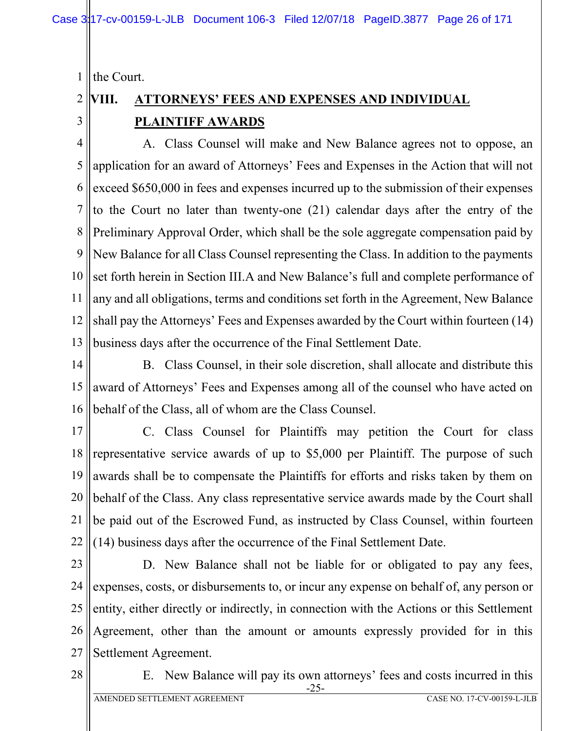1 the Court.

#### 2 3 **VIII. ATTORNEYS' FEES AND EXPENSES AND INDIVIDUAL PLAINTIFF AWARDS**

4 5 6 7 8 9 10 11 12 13 A. Class Counsel will make and New Balance agrees not to oppose, an application for an award of Attorneys' Fees and Expenses in the Action that will not exceed \$650,000 in fees and expenses incurred up to the submission of their expenses to the Court no later than twenty-one (21) calendar days after the entry of the Preliminary Approval Order, which shall be the sole aggregate compensation paid by New Balance for all Class Counsel representing the Class. In addition to the payments set forth herein in Section III.A and New Balance's full and complete performance of any and all obligations, terms and conditions set forth in the Agreement, New Balance shall pay the Attorneys' Fees and Expenses awarded by the Court within fourteen (14) business days after the occurrence of the Final Settlement Date.

14 15 16 B. Class Counsel, in their sole discretion, shall allocate and distribute this award of Attorneys' Fees and Expenses among all of the counsel who have acted on behalf of the Class, all of whom are the Class Counsel.

17 18 19 20 21 22 C. Class Counsel for Plaintiffs may petition the Court for class representative service awards of up to \$5,000 per Plaintiff. The purpose of such awards shall be to compensate the Plaintiffs for efforts and risks taken by them on behalf of the Class. Any class representative service awards made by the Court shall be paid out of the Escrowed Fund, as instructed by Class Counsel, within fourteen (14) business days after the occurrence of the Final Settlement Date.

- 23 24 25 26 27 D. New Balance shall not be liable for or obligated to pay any fees, expenses, costs, or disbursements to, or incur any expense on behalf of, any person or entity, either directly or indirectly, in connection with the Actions or this Settlement Agreement, other than the amount or amounts expressly provided for in this Settlement Agreement.
- 28

-25- E. New Balance will pay its own attorneys' fees and costs incurred in this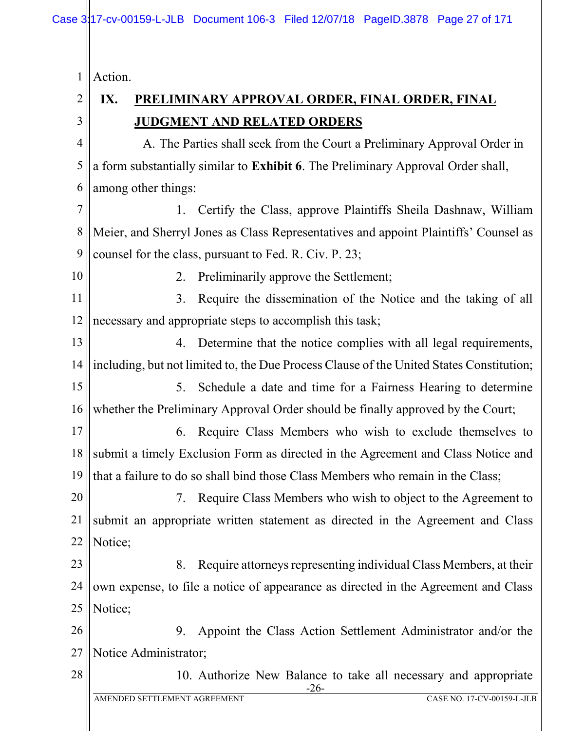1 Action.

2

3

# **IX. PRELIMINARY APPROVAL ORDER, FINAL ORDER, FINAL JUDGMENT AND RELATED ORDERS**

4 5 6 A. The Parties shall seek from the Court a Preliminary Approval Order in a form substantially similar to **Exhibit 6**. The Preliminary Approval Order shall, among other things:

7 8 9 1. Certify the Class, approve Plaintiffs Sheila Dashnaw, William Meier, and Sherryl Jones as Class Representatives and appoint Plaintiffs' Counsel as counsel for the class, pursuant to Fed. R. Civ. P. 23;

10

28

2. Preliminarily approve the Settlement;

11 12 3. Require the dissemination of the Notice and the taking of all necessary and appropriate steps to accomplish this task;

13 14 4. Determine that the notice complies with all legal requirements, including, but not limited to, the Due Process Clause of the United States Constitution;

15 16 5. Schedule a date and time for a Fairness Hearing to determine whether the Preliminary Approval Order should be finally approved by the Court;

17 18 19 6. Require Class Members who wish to exclude themselves to submit a timely Exclusion Form as directed in the Agreement and Class Notice and that a failure to do so shall bind those Class Members who remain in the Class;

20 21 22 7. Require Class Members who wish to object to the Agreement to submit an appropriate written statement as directed in the Agreement and Class Notice;

23 24 25 8. Require attorneys representing individual Class Members, at their own expense, to file a notice of appearance as directed in the Agreement and Class Notice;

26 27 9. Appoint the Class Action Settlement Administrator and/or the Notice Administrator;

> -26- 10. Authorize New Balance to take all necessary and appropriate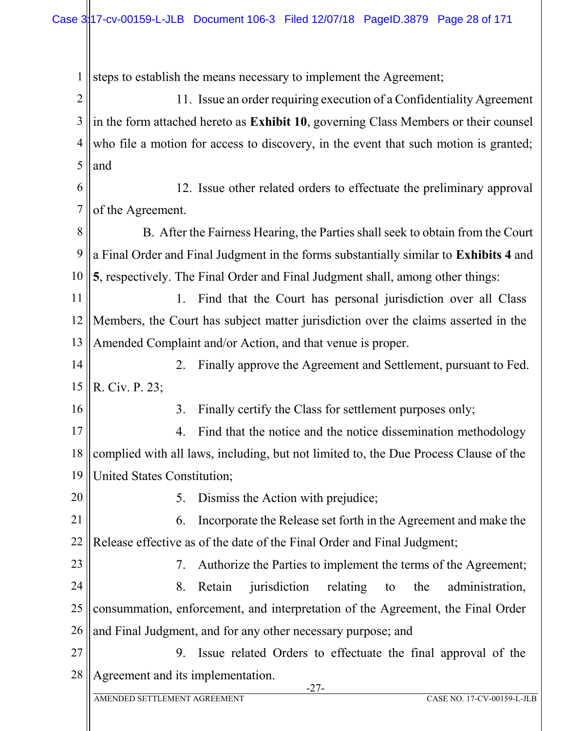1 2 3 4 5 6 7 8 9 10 11 12 13 14 15 16 17 18 19 20 21 22 23 24 25 26 27 28 -27 steps to establish the means necessary to implement the Agreement; 11. Issue an order requiring execution of a Confidentiality Agreement in the form attached hereto as **Exhibit 10**, governing Class Members or their counsel who file a motion for access to discovery, in the event that such motion is granted; and 12. Issue other related orders to effectuate the preliminary approval of the Agreement. B. After the Fairness Hearing, the Parties shall seek to obtain from the Court a Final Order and Final Judgment in the forms substantially similar to **Exhibits 4** and **5**, respectively. The Final Order and Final Judgment shall, among other things: 1. Find that the Court has personal jurisdiction over all Class Members, the Court has subject matter jurisdiction over the claims asserted in the Amended Complaint and/or Action, and that venue is proper. 2. Finally approve the Agreement and Settlement, pursuant to Fed. R. Civ. P. 23; 3. Finally certify the Class for settlement purposes only; 4. Find that the notice and the notice dissemination methodology complied with all laws, including, but not limited to, the Due Process Clause of the United States Constitution; 5. Dismiss the Action with prejudice; 6. Incorporate the Release set forth in the Agreement and make the Release effective as of the date of the Final Order and Final Judgment; 7. Authorize the Parties to implement the terms of the Agreement; 8. Retain jurisdiction relating to the administration, consummation, enforcement, and interpretation of the Agreement, the Final Order and Final Judgment, and for any other necessary purpose; and 9. Issue related Orders to effectuate the final approval of the Agreement and its implementation.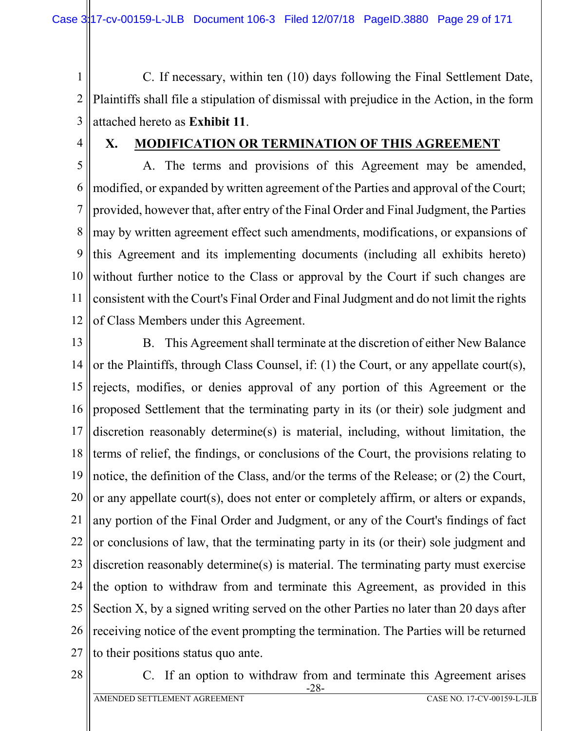1 2 3 C. If necessary, within ten (10) days following the Final Settlement Date, Plaintiffs shall file a stipulation of dismissal with prejudice in the Action, in the form attached hereto as **Exhibit 11**.

4

## **X. MODIFICATION OR TERMINATION OF THIS AGREEMENT**

5 6 7 8 9 10 11 12 A. The terms and provisions of this Agreement may be amended, modified, or expanded by written agreement of the Parties and approval of the Court; provided, however that, after entry of the Final Order and Final Judgment, the Parties may by written agreement effect such amendments, modifications, or expansions of this Agreement and its implementing documents (including all exhibits hereto) without further notice to the Class or approval by the Court if such changes are consistent with the Court's Final Order and Final Judgment and do not limit the rights of Class Members under this Agreement.

13

14 15 16 17 18 19 20 21 22 23 24 25 26 27 B. This Agreement shall terminate at the discretion of either New Balance or the Plaintiffs, through Class Counsel, if: (1) the Court, or any appellate court(s), rejects, modifies, or denies approval of any portion of this Agreement or the proposed Settlement that the terminating party in its (or their) sole judgment and discretion reasonably determine(s) is material, including, without limitation, the terms of relief, the findings, or conclusions of the Court, the provisions relating to notice, the definition of the Class, and/or the terms of the Release; or (2) the Court, or any appellate court(s), does not enter or completely affirm, or alters or expands, any portion of the Final Order and Judgment, or any of the Court's findings of fact or conclusions of law, that the terminating party in its (or their) sole judgment and discretion reasonably determine(s) is material. The terminating party must exercise the option to withdraw from and terminate this Agreement, as provided in this Section X, by a signed writing served on the other Parties no later than 20 days after receiving notice of the event prompting the termination. The Parties will be returned to their positions status quo ante.

28

-28- C. If an option to withdraw from and terminate this Agreement arises

AMENDED SETTLEMENT AGREEMENT CASE NO. 17-CV-00159-L-JLB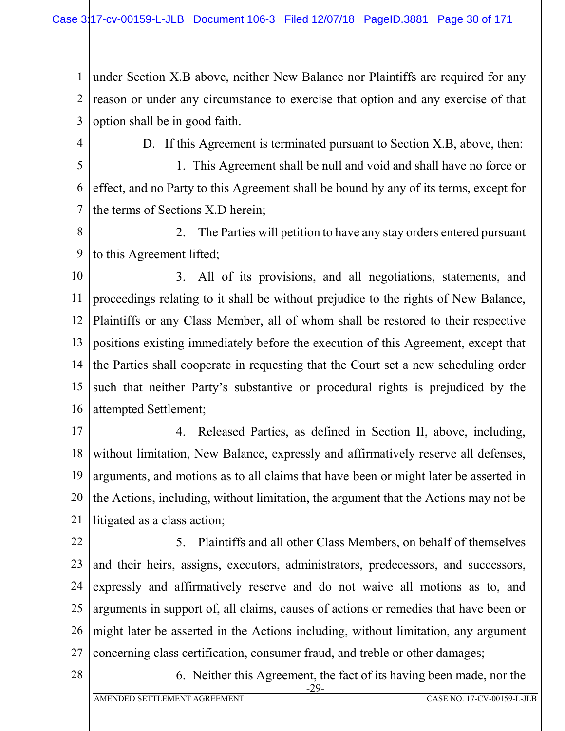1 2 3 under Section X.B above, neither New Balance nor Plaintiffs are required for any reason or under any circumstance to exercise that option and any exercise of that option shall be in good faith.

4

D. If this Agreement is terminated pursuant to Section X.B, above, then:

5 6 7 1. This Agreement shall be null and void and shall have no force or effect, and no Party to this Agreement shall be bound by any of its terms, except for the terms of Sections X.D herein;

8 9 2. The Parties will petition to have any stay orders entered pursuant to this Agreement lifted;

10 11 12 13 14 15 16 3. All of its provisions, and all negotiations, statements, and proceedings relating to it shall be without prejudice to the rights of New Balance, Plaintiffs or any Class Member, all of whom shall be restored to their respective positions existing immediately before the execution of this Agreement, except that the Parties shall cooperate in requesting that the Court set a new scheduling order such that neither Party's substantive or procedural rights is prejudiced by the attempted Settlement;

17 18 19 20 21 4. Released Parties, as defined in Section II, above, including, without limitation, New Balance, expressly and affirmatively reserve all defenses, arguments, and motions as to all claims that have been or might later be asserted in the Actions, including, without limitation, the argument that the Actions may not be litigated as a class action;

22 23 24 25 26 27 5. Plaintiffs and all other Class Members, on behalf of themselves and their heirs, assigns, executors, administrators, predecessors, and successors, expressly and affirmatively reserve and do not waive all motions as to, and arguments in support of, all claims, causes of actions or remedies that have been or might later be asserted in the Actions including, without limitation, any argument concerning class certification, consumer fraud, and treble or other damages;

28

-29- 6. Neither this Agreement, the fact of its having been made, nor the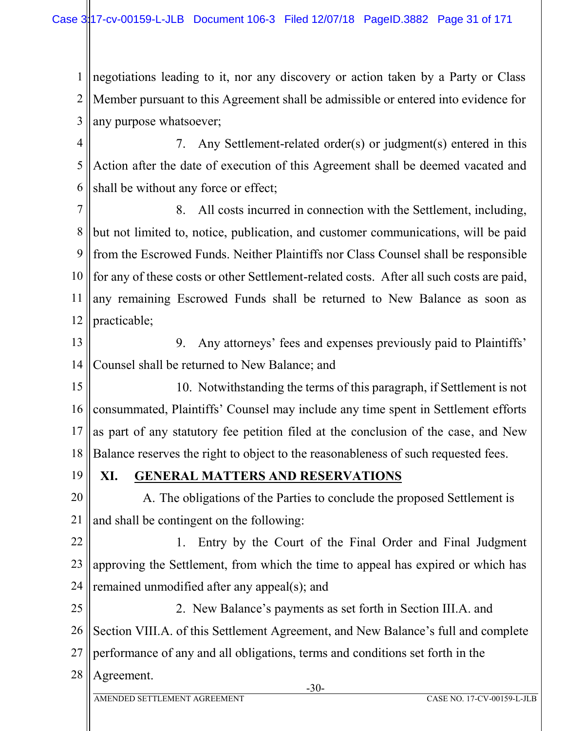1 2 3 negotiations leading to it, nor any discovery or action taken by a Party or Class Member pursuant to this Agreement shall be admissible or entered into evidence for any purpose whatsoever;

4 5 6 7. Any Settlement-related order(s) or judgment(s) entered in this Action after the date of execution of this Agreement shall be deemed vacated and shall be without any force or effect;

7 8 9 10 11 12 8. All costs incurred in connection with the Settlement, including, but not limited to, notice, publication, and customer communications, will be paid from the Escrowed Funds. Neither Plaintiffs nor Class Counsel shall be responsible for any of these costs or other Settlement-related costs. After all such costs are paid, any remaining Escrowed Funds shall be returned to New Balance as soon as practicable;

13 14 9. Any attorneys' fees and expenses previously paid to Plaintiffs' Counsel shall be returned to New Balance; and

15 16 17 18 10. Notwithstanding the terms of this paragraph, if Settlement is not consummated, Plaintiffs' Counsel may include any time spent in Settlement efforts as part of any statutory fee petition filed at the conclusion of the case, and New Balance reserves the right to object to the reasonableness of such requested fees.

19

# **XI. GENERAL MATTERS AND RESERVATIONS**

20 21 A. The obligations of the Parties to conclude the proposed Settlement is and shall be contingent on the following:

22 23 24 1. Entry by the Court of the Final Order and Final Judgment approving the Settlement, from which the time to appeal has expired or which has remained unmodified after any appeal(s); and

25 26 27 2. New Balance's payments as set forth in Section III.A. and Section VIII.A. of this Settlement Agreement, and New Balance's full and complete performance of any and all obligations, terms and conditions set forth in the

28 Agreement.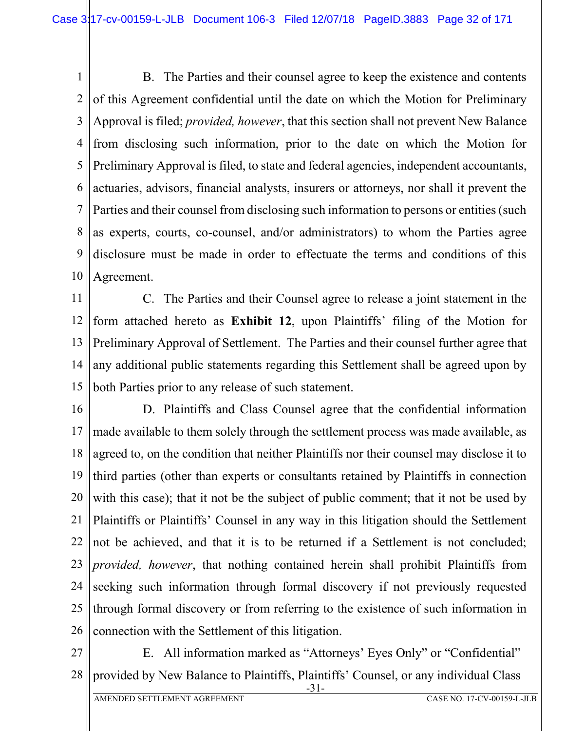1 2 3 4 5 6 7 8 9 10 B. The Parties and their counsel agree to keep the existence and contents of this Agreement confidential until the date on which the Motion for Preliminary Approval is filed; *provided, however*, that this section shall not prevent New Balance from disclosing such information, prior to the date on which the Motion for Preliminary Approval is filed, to state and federal agencies, independent accountants, actuaries, advisors, financial analysts, insurers or attorneys, nor shall it prevent the Parties and their counsel from disclosing such information to persons or entities (such as experts, courts, co-counsel, and/or administrators) to whom the Parties agree disclosure must be made in order to effectuate the terms and conditions of this Agreement.

11 12 13 14 15 C. The Parties and their Counsel agree to release a joint statement in the form attached hereto as **Exhibit 12**, upon Plaintiffs' filing of the Motion for Preliminary Approval of Settlement. The Parties and their counsel further agree that any additional public statements regarding this Settlement shall be agreed upon by both Parties prior to any release of such statement.

16 17 18 19 20 21 22 23 24 25 26 D. Plaintiffs and Class Counsel agree that the confidential information made available to them solely through the settlement process was made available, as agreed to, on the condition that neither Plaintiffs nor their counsel may disclose it to third parties (other than experts or consultants retained by Plaintiffs in connection with this case); that it not be the subject of public comment; that it not be used by Plaintiffs or Plaintiffs' Counsel in any way in this litigation should the Settlement not be achieved, and that it is to be returned if a Settlement is not concluded; *provided, however*, that nothing contained herein shall prohibit Plaintiffs from seeking such information through formal discovery if not previously requested through formal discovery or from referring to the existence of such information in connection with the Settlement of this litigation.

27 28 -31- E. All information marked as "Attorneys' Eyes Only" or "Confidential" provided by New Balance to Plaintiffs, Plaintiffs' Counsel, or any individual Class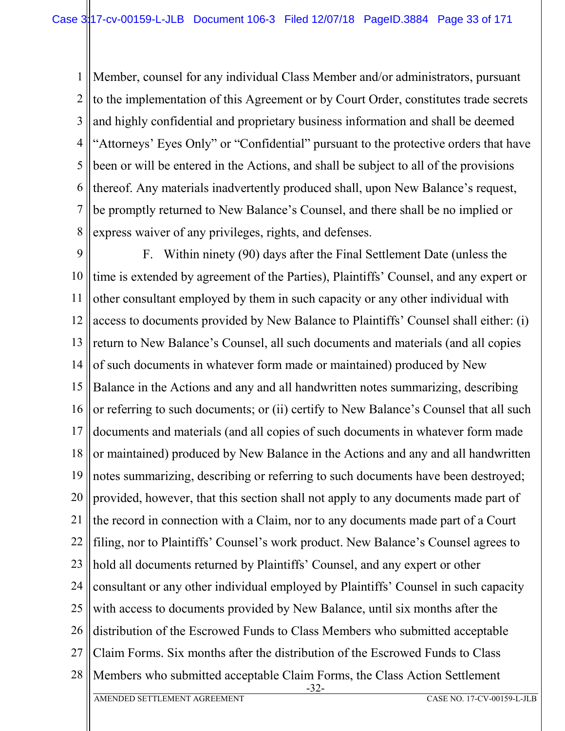1 2 3 4 5 6 7 8 Member, counsel for any individual Class Member and/or administrators, pursuant to the implementation of this Agreement or by Court Order, constitutes trade secrets and highly confidential and proprietary business information and shall be deemed "Attorneys' Eyes Only" or "Confidential" pursuant to the protective orders that have been or will be entered in the Actions, and shall be subject to all of the provisions thereof. Any materials inadvertently produced shall, upon New Balance's request, be promptly returned to New Balance's Counsel, and there shall be no implied or express waiver of any privileges, rights, and defenses.

9 10 11 12 13 14 15 16 17 18 19 20 21 22 23 24 25 26 27 28 -32- AMENDED SETTLEMENT AGREEMENT CASE NO. 17-CV-00159-L-JLB F. Within ninety (90) days after the Final Settlement Date (unless the time is extended by agreement of the Parties), Plaintiffs' Counsel, and any expert or other consultant employed by them in such capacity or any other individual with access to documents provided by New Balance to Plaintiffs' Counsel shall either: (i) return to New Balance's Counsel, all such documents and materials (and all copies of such documents in whatever form made or maintained) produced by New Balance in the Actions and any and all handwritten notes summarizing, describing or referring to such documents; or (ii) certify to New Balance's Counsel that all such documents and materials (and all copies of such documents in whatever form made or maintained) produced by New Balance in the Actions and any and all handwritten notes summarizing, describing or referring to such documents have been destroyed; provided, however, that this section shall not apply to any documents made part of the record in connection with a Claim, nor to any documents made part of a Court filing, nor to Plaintiffs' Counsel's work product. New Balance's Counsel agrees to hold all documents returned by Plaintiffs' Counsel, and any expert or other consultant or any other individual employed by Plaintiffs' Counsel in such capacity with access to documents provided by New Balance, until six months after the distribution of the Escrowed Funds to Class Members who submitted acceptable Claim Forms. Six months after the distribution of the Escrowed Funds to Class Members who submitted acceptable Claim Forms, the Class Action Settlement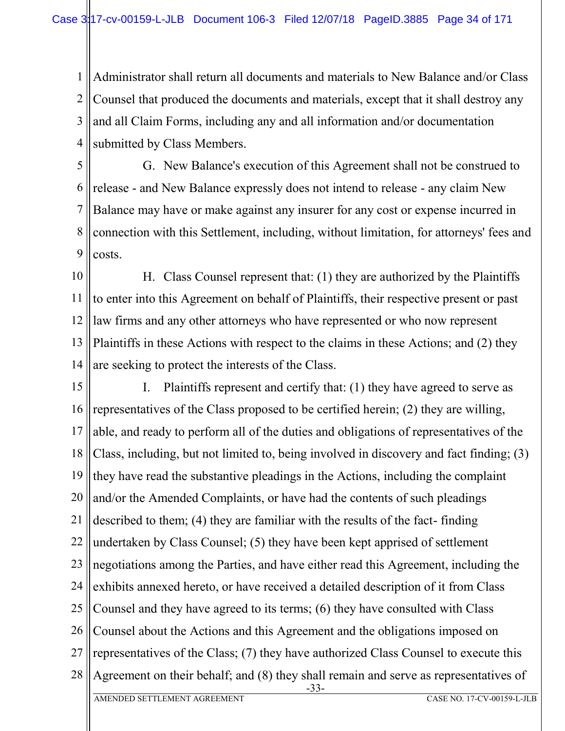1 2 3 4 Administrator shall return all documents and materials to New Balance and/or Class Counsel that produced the documents and materials, except that it shall destroy any and all Claim Forms, including any and all information and/or documentation submitted by Class Members.

5 6 7 8 9 G. New Balance's execution of this Agreement shall not be construed to release - and New Balance expressly does not intend to release - any claim New Balance may have or make against any insurer for any cost or expense incurred in connection with this Settlement, including, without limitation, for attorneys' fees and costs.

10 11 12 13 14 H. Class Counsel represent that: (1) they are authorized by the Plaintiffs to enter into this Agreement on behalf of Plaintiffs, their respective present or past law firms and any other attorneys who have represented or who now represent Plaintiffs in these Actions with respect to the claims in these Actions; and (2) they are seeking to protect the interests of the Class.

15 16 17 18 19 20 21 22 23 24 25 26 27 28 -33- AMENDED SETTLEMENT AGREEMENT CASE NO. 17-CV-00159-L-JLB I. Plaintiffs represent and certify that: (1) they have agreed to serve as representatives of the Class proposed to be certified herein; (2) they are willing, able, and ready to perform all of the duties and obligations of representatives of the Class, including, but not limited to, being involved in discovery and fact finding; (3) they have read the substantive pleadings in the Actions, including the complaint and/or the Amended Complaints, or have had the contents of such pleadings described to them; (4) they are familiar with the results of the fact- finding undertaken by Class Counsel; (5) they have been kept apprised of settlement negotiations among the Parties, and have either read this Agreement, including the exhibits annexed hereto, or have received a detailed description of it from Class Counsel and they have agreed to its terms; (6) they have consulted with Class Counsel about the Actions and this Agreement and the obligations imposed on representatives of the Class; (7) they have authorized Class Counsel to execute this Agreement on their behalf; and (8) they shall remain and serve as representatives of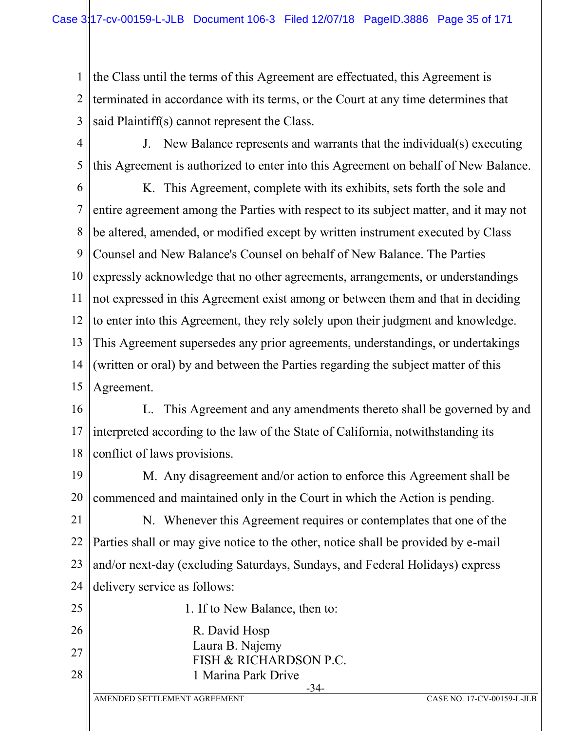1 2 3 the Class until the terms of this Agreement are effectuated, this Agreement is terminated in accordance with its terms, or the Court at any time determines that said Plaintiff(s) cannot represent the Class.

4

J. New Balance represents and warrants that the individual(s) executing this Agreement is authorized to enter into this Agreement on behalf of New Balance.

5

6 7 8 9 10 11 12 13 14 15 K. This Agreement, complete with its exhibits, sets forth the sole and entire agreement among the Parties with respect to its subject matter, and it may not be altered, amended, or modified except by written instrument executed by Class Counsel and New Balance's Counsel on behalf of New Balance. The Parties expressly acknowledge that no other agreements, arrangements, or understandings not expressed in this Agreement exist among or between them and that in deciding to enter into this Agreement, they rely solely upon their judgment and knowledge. This Agreement supersedes any prior agreements, understandings, or undertakings (written or oral) by and between the Parties regarding the subject matter of this Agreement.

16 17 18 L. This Agreement and any amendments thereto shall be governed by and interpreted according to the law of the State of California, notwithstanding its conflict of laws provisions.

19 20 M. Any disagreement and/or action to enforce this Agreement shall be commenced and maintained only in the Court in which the Action is pending.

21 22 23 24 N. Whenever this Agreement requires or contemplates that one of the Parties shall or may give notice to the other, notice shall be provided by e-mail and/or next-day (excluding Saturdays, Sundays, and Federal Holidays) express delivery service as follows:

- 25 1. If to New Balance, then to:
- 26 R. David Hosp
- 27 Laura B. Najemy
	- FISH & RICHARDSON P.C. 1 Marina Park Drive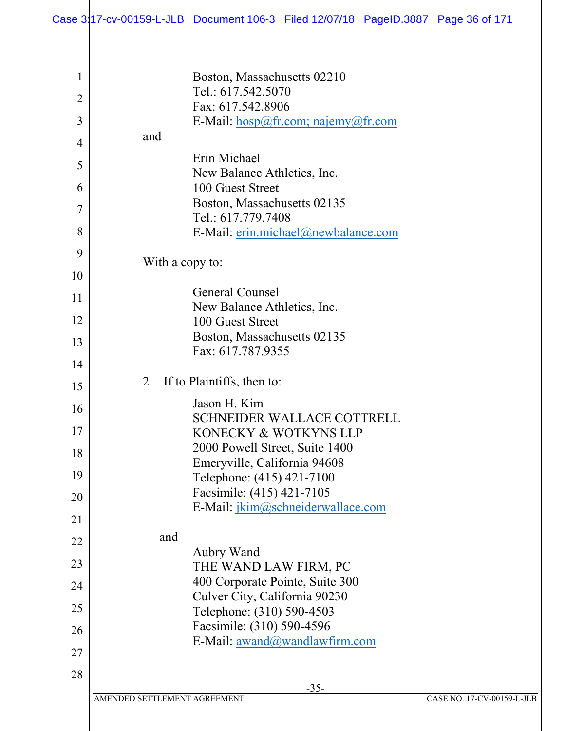| $\mathbf{1}$   | Boston, Massachusetts 02210                                          |
|----------------|----------------------------------------------------------------------|
| $\overline{2}$ | Tel.: 617.542.5070                                                   |
| 3              | Fax: 617.542.8906<br>E-Mail: $hosp@fr.com$ ; najemy@fr.com           |
|                | and                                                                  |
| $\overline{4}$ | Erin Michael                                                         |
| 5              | New Balance Athletics, Inc.                                          |
| 6              | 100 Guest Street                                                     |
| 7              | Boston, Massachusetts 02135                                          |
| 8              | Tel.: 617.779.7408<br>E-Mail: erin.michael@newbalance.com            |
| 9              |                                                                      |
|                | With a copy to:                                                      |
| 10             | General Counsel                                                      |
| 11             | New Balance Athletics, Inc.                                          |
| 12             | 100 Guest Street                                                     |
| 13             | Boston, Massachusetts 02135                                          |
| 14             | Fax: 617.787.9355                                                    |
| 15             | If to Plaintiffs, then to:<br>2.                                     |
| 16             | Jason H. Kim                                                         |
|                | <b>SCHNEIDER WALLACE COTTRELL</b>                                    |
| 17             | KONECKY & WOTKYNS LLP<br>2000 Powell Street, Suite 1400              |
| 18             | Emeryville, California 94608                                         |
| 19             | Telephone: (415) 421-7100                                            |
| 20             | Facsimile: (415) 421-7105                                            |
| 21             | E-Mail: jkim@schneiderwallace.com                                    |
| 22             | and                                                                  |
| 23             | Aubry Wand<br>THE WAND LAW FIRM, PC                                  |
| 24             | 400 Corporate Pointe, Suite 300                                      |
|                | Culver City, California 90230                                        |
| 25             | Telephone: (310) 590-4503                                            |
| 26             | Facsimile: (310) 590-4596<br>E-Mail: <u>awand</u> @wandlawfirm.com   |
| 27             |                                                                      |
| 28             |                                                                      |
|                | $-35-$<br>AMENDED SETTLEMENT AGREEMENT<br>CASE NO. 17-CV-00159-L-JLB |
|                |                                                                      |
|                |                                                                      |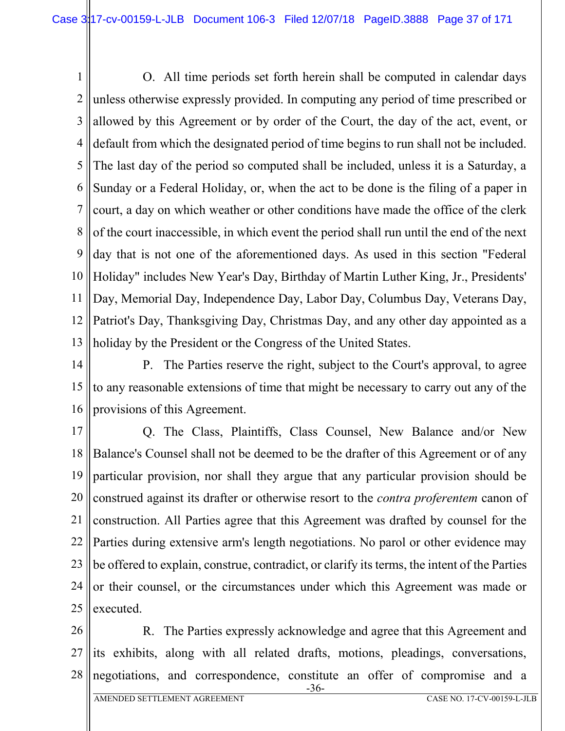1 2 3 4 5 6 7 8 9 10 11 12 13 O. All time periods set forth herein shall be computed in calendar days unless otherwise expressly provided. In computing any period of time prescribed or allowed by this Agreement or by order of the Court, the day of the act, event, or default from which the designated period of time begins to run shall not be included. The last day of the period so computed shall be included, unless it is a Saturday, a Sunday or a Federal Holiday, or, when the act to be done is the filing of a paper in court, a day on which weather or other conditions have made the office of the clerk of the court inaccessible, in which event the period shall run until the end of the next day that is not one of the aforementioned days. As used in this section "Federal Holiday" includes New Year's Day, Birthday of Martin Luther King, Jr., Presidents' Day, Memorial Day, Independence Day, Labor Day, Columbus Day, Veterans Day, Patriot's Day, Thanksgiving Day, Christmas Day, and any other day appointed as a holiday by the President or the Congress of the United States.

14 15 16 P. The Parties reserve the right, subject to the Court's approval, to agree to any reasonable extensions of time that might be necessary to carry out any of the provisions of this Agreement.

17 18 19 20 21 22 23 24 25 Q. The Class, Plaintiffs, Class Counsel, New Balance and/or New Balance's Counsel shall not be deemed to be the drafter of this Agreement or of any particular provision, nor shall they argue that any particular provision should be construed against its drafter or otherwise resort to the *contra proferentem* canon of construction. All Parties agree that this Agreement was drafted by counsel for the Parties during extensive arm's length negotiations. No parol or other evidence may be offered to explain, construe, contradict, or clarify its terms, the intent of the Parties or their counsel, or the circumstances under which this Agreement was made or executed.

26 27 28 R. The Parties expressly acknowledge and agree that this Agreement and its exhibits, along with all related drafts, motions, pleadings, conversations, negotiations, and correspondence, constitute an offer of compromise and a

-36-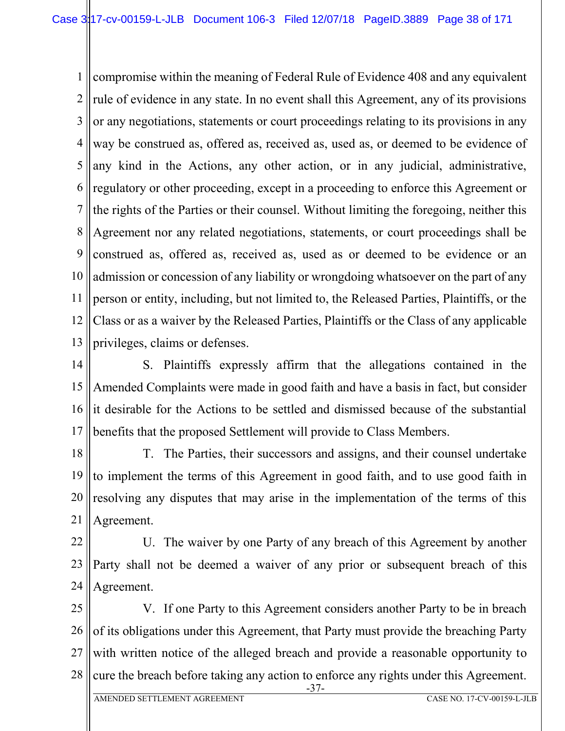1 2 3 4 5 6 7 8 9 10 11 12 13 compromise within the meaning of Federal Rule of Evidence 408 and any equivalent rule of evidence in any state. In no event shall this Agreement, any of its provisions or any negotiations, statements or court proceedings relating to its provisions in any way be construed as, offered as, received as, used as, or deemed to be evidence of any kind in the Actions, any other action, or in any judicial, administrative, regulatory or other proceeding, except in a proceeding to enforce this Agreement or the rights of the Parties or their counsel. Without limiting the foregoing, neither this Agreement nor any related negotiations, statements, or court proceedings shall be construed as, offered as, received as, used as or deemed to be evidence or an admission or concession of any liability or wrongdoing whatsoever on the part of any person or entity, including, but not limited to, the Released Parties, Plaintiffs, or the Class or as a waiver by the Released Parties, Plaintiffs or the Class of any applicable privileges, claims or defenses.

14 15 16 17 S. Plaintiffs expressly affirm that the allegations contained in the Amended Complaints were made in good faith and have a basis in fact, but consider it desirable for the Actions to be settled and dismissed because of the substantial benefits that the proposed Settlement will provide to Class Members.

18 19 20 21 T. The Parties, their successors and assigns, and their counsel undertake to implement the terms of this Agreement in good faith, and to use good faith in resolving any disputes that may arise in the implementation of the terms of this Agreement.

22 23 24 U. The waiver by one Party of any breach of this Agreement by another Party shall not be deemed a waiver of any prior or subsequent breach of this Agreement.

25 26 27 28 V. If one Party to this Agreement considers another Party to be in breach of its obligations under this Agreement, that Party must provide the breaching Party with written notice of the alleged breach and provide a reasonable opportunity to cure the breach before taking any action to enforce any rights under this Agreement.

-37-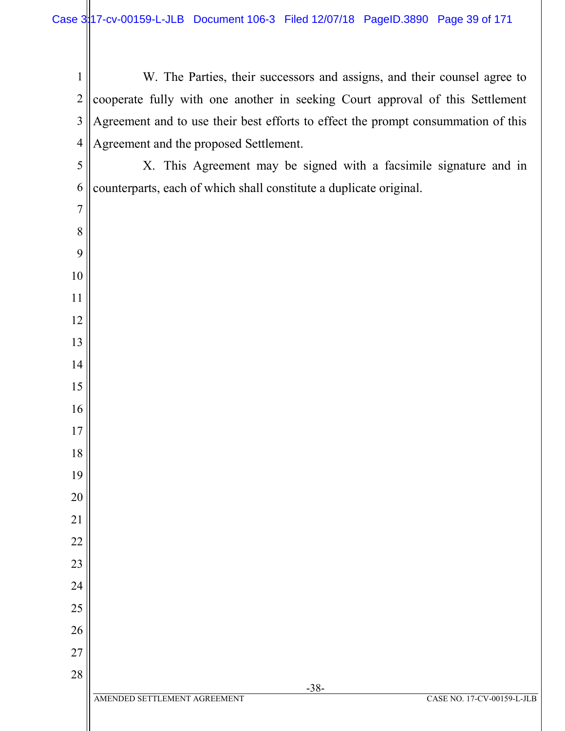| $\mathbf{1}$   | W. The Parties, their successors and assigns, and their counsel agree to          |
|----------------|-----------------------------------------------------------------------------------|
| $\overline{2}$ | cooperate fully with one another in seeking Court approval of this Settlement     |
| $\mathfrak{Z}$ | Agreement and to use their best efforts to effect the prompt consummation of this |
| $\overline{4}$ | Agreement and the proposed Settlement.                                            |
| 5              | X. This Agreement may be signed with a facsimile signature and in                 |
| 6              | counterparts, each of which shall constitute a duplicate original.                |
| $\overline{7}$ |                                                                                   |
| 8              |                                                                                   |
| 9              |                                                                                   |
| 10             |                                                                                   |
| 11             |                                                                                   |
| 12             |                                                                                   |
| 13             |                                                                                   |
| 14             |                                                                                   |
| 15             |                                                                                   |
| 16             |                                                                                   |
| 17             |                                                                                   |
| 18             |                                                                                   |
| 19             |                                                                                   |
| 20             |                                                                                   |
| 21             |                                                                                   |
| 22             |                                                                                   |
| 23             |                                                                                   |
| 24             |                                                                                   |
| 25             |                                                                                   |
| 26             |                                                                                   |
| 27             |                                                                                   |
| 28             | $-38-$                                                                            |
|                | AMENDED SETTLEMENT AGREEMENT<br>CASE NO. 17-CV-00159-L-JLB                        |
|                |                                                                                   |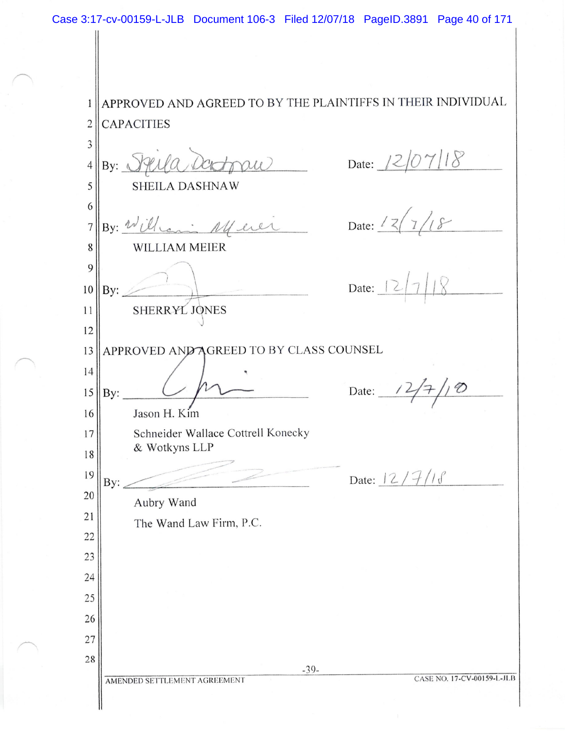APPROVED AND AGREED TO BY THE PLAINTIFFS IN THEIR INDIVIDUAL  $\mathbf{1}$ **CAPACITIES**  $\overline{2}$  $\overline{\mathbf{3}}$ Date:  $12/07118$ topu By: Plula Day  $\overline{4}$ 5 SHEILA DASHNAW 6 Date:  $12/18$ By: William Muer  $\overline{7}$ 8 WILLIAM MEIER 9 Date:  $|2|$ 10 By: SHERRYL JONES 11  $12$ APPROVED AND AGREED TO BY CLASS COUNSEL 13 14 Date:  $\frac{12}{7}$ /10 15  $By:$ Jason H. Kim 16 Schneider Wallace Cottrell Konecky  $17$ & Wotkyns LLP 18 Date: 12/7/18 19 By: 20 Aubry Wand  $21$ The Wand Law Firm, P.C. 22 23 24 25 26 27 28  $-39-$ CASE NO. 17-CV-00159-L-JLB AMENDED SETTLEMENT AGREEMENT